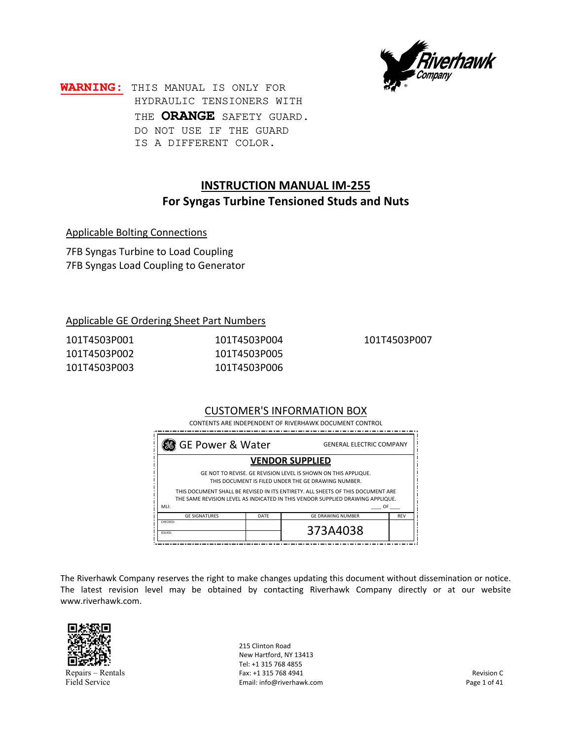

**WARNING:** THIS MANUAL IS ONLY FOR HYDRAULIC TENSIONERS WITH THE **ORANGE** SAFETY GUARD. DO NOT USE IF THE GUARD IS A DIFFERENT COLOR.

# **INSTRUCTION MANUAL IM‐255 For Syngas Turbine Tensioned Studs and Nuts**

Applicable Bolting Connections

7FB Syngas Turbine to Load Coupling 7FB Syngas Load Coupling to Generator

### Applicable GE Ordering Sheet Part Numbers

| 101T4503P001 | 101T4503P004 |
|--------------|--------------|
| 101T4503P002 | 101T4503P005 |
| 101T4503P003 | 101T4503P006 |

101T4503P007

#### CUSTOMER'S INFORMATION BOX

CONTENTS ARE INDEPENDENT OF RIVERHAWK DOCUMENT CONTROL

| <b>GE Power &amp; Water</b>                                                                                                                                                                              |  | <b>GENERAL ELECTRIC COMPANY</b> |  |  |
|----------------------------------------------------------------------------------------------------------------------------------------------------------------------------------------------------------|--|---------------------------------|--|--|
| <b>VENDOR SUPPLIED</b>                                                                                                                                                                                   |  |                                 |  |  |
| GE NOT TO REVISE. GE REVISION LEVEL IS SHOWN ON THIS APPLIQUE.<br>THIS DOCUMENT IS FILED UNDER THE GE DRAWING NUMBER.<br>THIS DOCUMENT SHALL BE REVISED IN ITS ENTIRETY. ALL SHEETS OF THIS DOCUMENT ARE |  |                                 |  |  |
| THE SAME REVISION LEVEL AS INDICATED IN THIS VENDOR SUPPLIED DRAWING APPLIQUE.<br>MLI:<br>OF                                                                                                             |  |                                 |  |  |
| <b>GE SIGNATURES</b><br><b>GE DRAWING NUMBER</b><br><b>RFV</b><br>DATE                                                                                                                                   |  |                                 |  |  |
| <b>CHECKED</b><br>ISSUED:                                                                                                                                                                                |  | 373A4038                        |  |  |

The Riverhawk Company reserves the right to make changes updating this document without dissemination or notice. The latest revision level may be obtained by contacting Riverhawk Company directly or at our website www.riverhawk.com.



Repairs – Rentals Field Service

215 Clinton Road New Hartford, NY 13413 Tel: +1 315 768 4855 Fax: +1 315 768 4941 Email: info@riverhawk.com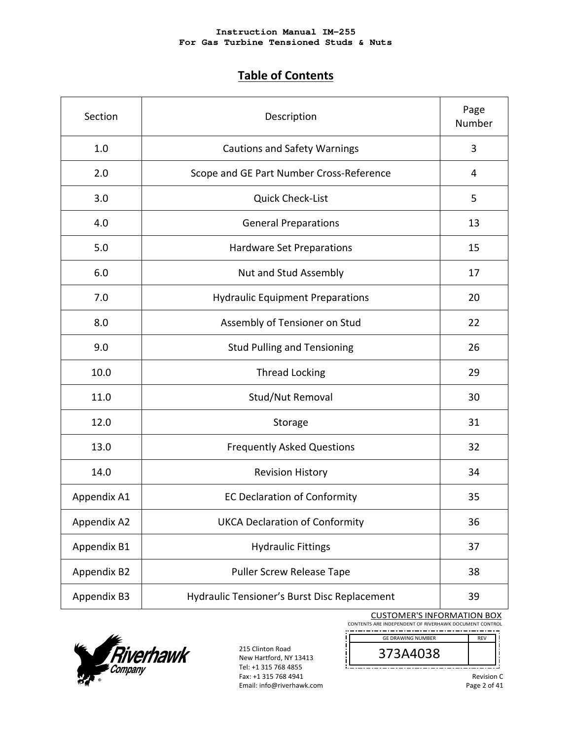# **Table of Contents**

| Section                                   | Description                                  | Page<br>Number |
|-------------------------------------------|----------------------------------------------|----------------|
| 1.0                                       | <b>Cautions and Safety Warnings</b>          |                |
| 2.0                                       | Scope and GE Part Number Cross-Reference     | 4              |
| 3.0                                       | <b>Quick Check-List</b>                      | 5              |
| 4.0                                       | <b>General Preparations</b>                  | 13             |
| 5.0                                       | Hardware Set Preparations                    | 15             |
| 6.0                                       | Nut and Stud Assembly                        | 17             |
| 7.0                                       | <b>Hydraulic Equipment Preparations</b>      | 20             |
| 8.0                                       | Assembly of Tensioner on Stud                | 22             |
| 9.0<br><b>Stud Pulling and Tensioning</b> |                                              | 26             |
| 10.0                                      | <b>Thread Locking</b>                        | 29             |
| 11.0                                      | Stud/Nut Removal                             | 30             |
| 12.0                                      | Storage                                      | 31             |
| 13.0                                      | <b>Frequently Asked Questions</b>            | 32             |
| 14.0                                      | <b>Revision History</b>                      | 34             |
| Appendix A1                               | <b>EC Declaration of Conformity</b>          | 35             |
| Appendix A2                               | <b>UKCA Declaration of Conformity</b>        | 36             |
| Appendix B1                               | <b>Hydraulic Fittings</b>                    | 37             |
| Appendix B2                               | Puller Screw Release Tape                    | 38             |
| Appendix B3                               | Hydraulic Tensioner's Burst Disc Replacement | 39             |

CUSTOMER'S INFORMATION BOX





215 Clinton Road New Hartford, NY 13413 Tel: +1 315 768 4855 Fax: +1 315 768 4941 Email: info@riverhawk.com

 $\overline{\phantom{a}}$ 

373A4038 ļį Ţ \_\_\_\_\_\_\_\_\_\_\_\_\_\_\_\_\_\_\_\_\_\_\_\_\_\_

Revision C

Page 2 of 41

REV

į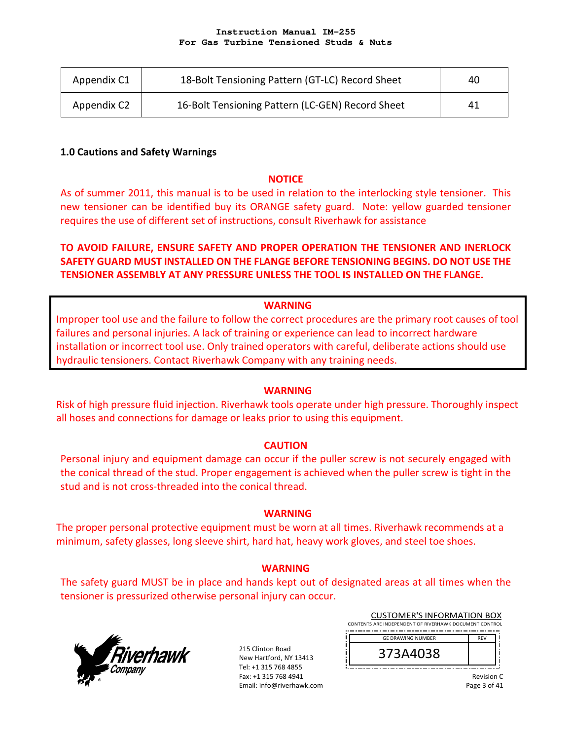| Appendix C1 | 18-Bolt Tensioning Pattern (GT-LC) Record Sheet  | 40 |
|-------------|--------------------------------------------------|----|
| Appendix C2 | 16-Bolt Tensioning Pattern (LC-GEN) Record Sheet | 41 |

### **1.0 Cautions and Safety Warnings**

### **NOTICE**

As of summer 2011, this manual is to be used in relation to the interlocking style tensioner. This new tensioner can be identified buy its ORANGE safety guard. Note: yellow guarded tensioner requires the use of different set of instructions, consult Riverhawk for assistance

# **TO AVOID FAILURE, ENSURE SAFETY AND PROPER OPERATION THE TENSIONER AND INERLOCK SAFETY GUARD MUST INSTALLED ON THE FLANGE BEFORE TENSIONING BEGINS. DO NOT USE THE TENSIONER ASSEMBLY AT ANY PRESSURE UNLESS THE TOOL IS INSTALLED ON THE FLANGE.**

### **WARNING**

Improper tool use and the failure to follow the correct procedures are the primary root causes of tool failures and personal injuries. A lack of training or experience can lead to incorrect hardware installation or incorrect tool use. Only trained operators with careful, deliberate actions should use hydraulic tensioners. Contact Riverhawk Company with any training needs.

#### **WARNING**

Risk of high pressure fluid injection. Riverhawk tools operate under high pressure. Thoroughly inspect all hoses and connections for damage or leaks prior to using this equipment.

### **CAUTION**

Personal injury and equipment damage can occur if the puller screw is not securely engaged with the conical thread of the stud. Proper engagement is achieved when the puller screw is tight in the stud and is not cross‐threaded into the conical thread.

#### **WARNING**

The proper personal protective equipment must be worn at all times. Riverhawk recommends at a minimum, safety glasses, long sleeve shirt, hard hat, heavy work gloves, and steel toe shoes.

### **WARNING**

The safety guard MUST be in place and hands kept out of designated areas at all times when the tensioner is pressurized otherwise personal injury can occur.



215 Clinton Road New Hartford, NY 13413 Tel: +1 315 768 4855 Fax: +1 315 768 4941 Email: info@riverhawk.com

| CUSTOMER'S INFORMATION BOX                             |            |  |
|--------------------------------------------------------|------------|--|
| CONTENTS ARE INDEPENDENT OF RIVERHAWK DOCUMENT CONTROL |            |  |
|                                                        |            |  |
| <b>GE DRAWING NUMBER</b>                               | <b>REV</b> |  |
| 373A4038                                               |            |  |
|                                                        |            |  |

 $\overline{C}$ 

Revision C Page 3 of 41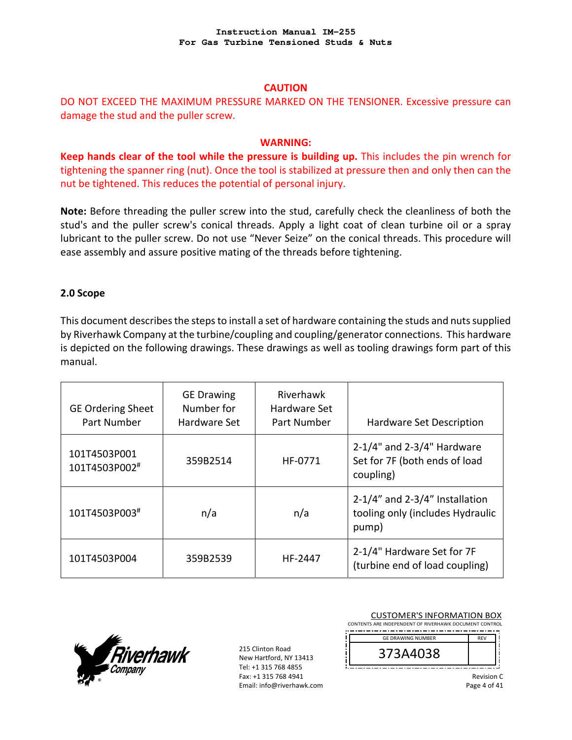### **CAUTION**

# DO NOT EXCEED THE MAXIMUM PRESSURE MARKED ON THE TENSIONER. Excessive pressure can damage the stud and the puller screw.

#### **WARNING:**

**Keep hands clear of the tool while the pressure is building up.** This includes the pin wrench for tightening the spanner ring (nut). Once the tool is stabilized at pressure then and only then can the nut be tightened. This reduces the potential of personal injury.

**Note:** Before threading the puller screw into the stud, carefully check the cleanliness of both the stud's and the puller screw's conical threads. Apply a light coat of clean turbine oil or a spray lubricant to the puller screw. Do not use "Never Seize" on the conical threads. This procedure will ease assembly and assure positive mating of the threads before tightening.

### **2.0 Scope**

This document describes the steps to install a set of hardware containing the studs and nuts supplied by Riverhawk Company at the turbine/coupling and coupling/generator connections. This hardware is depicted on the following drawings. These drawings as well as tooling drawings form part of this manual.

| <b>GE Ordering Sheet</b><br>Part Number | <b>GE Drawing</b><br>Number for<br>Hardware Set | Riverhawk<br>Hardware Set<br>Part Number | Hardware Set Description                                                          |
|-----------------------------------------|-------------------------------------------------|------------------------------------------|-----------------------------------------------------------------------------------|
| 101T4503P001<br>101T4503P002#           | 359B2514                                        | HF-0771                                  | $2-1/4$ " and $2-3/4$ " Hardware<br>Set for 7F (both ends of load<br>coupling)    |
| 101T4503P003#                           | n/a                                             | n/a                                      | $2-1/4$ " and $2-3/4$ " Installation<br>tooling only (includes Hydraulic<br>pump) |
| 101T4503P004                            | 359B2539                                        | HF-2447                                  | 2-1/4" Hardware Set for 7F<br>(turbine end of load coupling)                      |



215 Clinton Road New Hartford, NY 13413 Tel: +1 315 768 4855 Fax: +1 315 768 4941 Email: info@riverhawk.com

| CONTENTS ARE INDEPENDENT OF RIVERHAWK DOCUMENT CONTROL |            |
|--------------------------------------------------------|------------|
| <b>GE DRAWING NUMBER</b>                               | <b>REV</b> |
| 373A4038                                               |            |

Page 4 of 41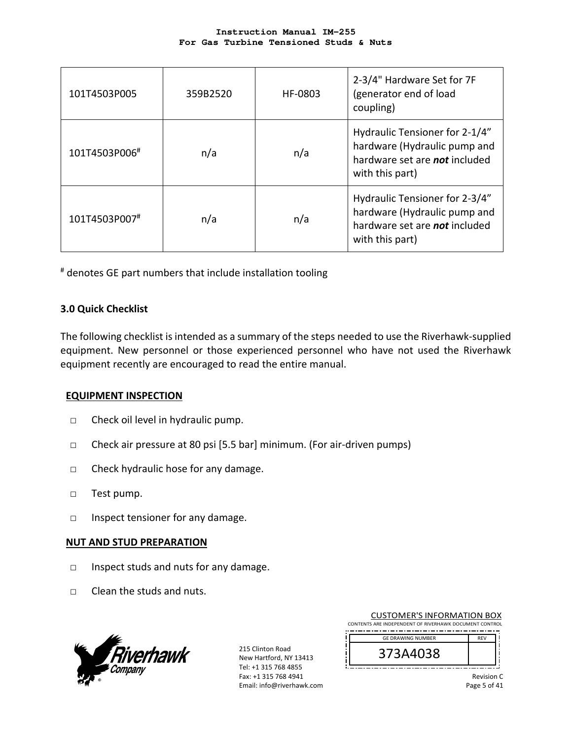| 101T4503P005  | 359B2520 | HF-0803 | 2-3/4" Hardware Set for 7F<br>(generator end of load<br>coupling)                                                         |
|---------------|----------|---------|---------------------------------------------------------------------------------------------------------------------------|
| 101T4503P006# | n/a      | n/a     | Hydraulic Tensioner for 2-1/4"<br>hardware (Hydraulic pump and<br>hardware set are not included<br>with this part)        |
| 101T4503P007# | n/a      | n/a     | Hydraulic Tensioner for 2-3/4"<br>hardware (Hydraulic pump and<br>hardware set are <b>not</b> included<br>with this part) |

# denotes GE part numbers that include installation tooling

### **3.0 Quick Checklist**

The following checklist is intended as a summary of the steps needed to use the Riverhawk‐supplied equipment. New personnel or those experienced personnel who have not used the Riverhawk equipment recently are encouraged to read the entire manual.

### **EQUIPMENT INSPECTION**

- □ Check oil level in hydraulic pump.
- □ Check air pressure at 80 psi [5.5 bar] minimum. (For air‐driven pumps)
- □ Check hydraulic hose for any damage.
- □ Test pump.
- □ Inspect tensioner for any damage.

#### **NUT AND STUD PREPARATION**

- □ Inspect studs and nuts for any damage.
- □ Clean the studs and nuts.



215 Clinton Road New Hartford, NY 13413 Tel: +1 315 768 4855 Fax: +1 315 768 4941 Email: info@riverhawk.com

| CONTENTS ARE INDEPENDENT OF RIVERHAWK DOCUMENT CONTROL |            |  |
|--------------------------------------------------------|------------|--|
| <b>GE DRAWING NUMBER</b>                               | <b>RFV</b> |  |
| 373A4038                                               |            |  |

CUSTOMER'S INFORMATION BOX

Revision C Page 5 of 41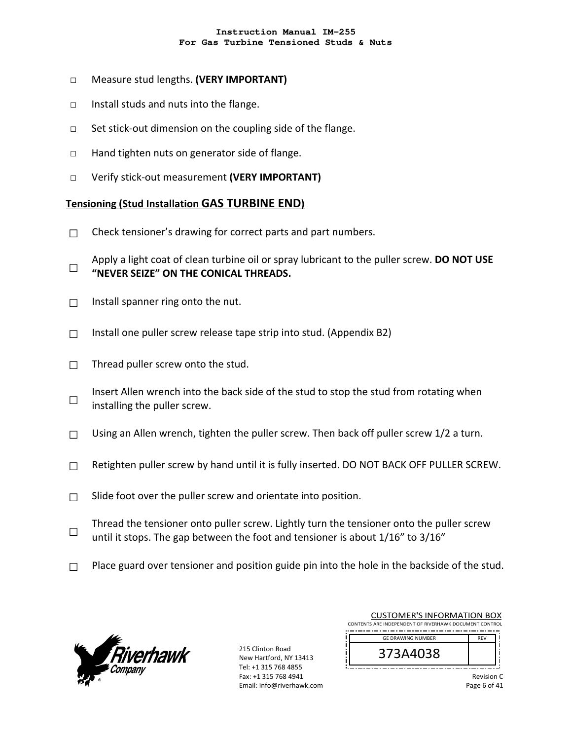- □ Measure stud lengths. **(VERY IMPORTANT)**
- □ Install studs and nuts into the flange.
- □ Set stick-out dimension on the coupling side of the flange.
- □ Hand tighten nuts on generator side of flange.
- □ Verify stick‐out measurement **(VERY IMPORTANT)**

#### **Tensioning (Stud Installation GAS TURBINE END)**

- $\Box$  Check tensioner's drawing for correct parts and part numbers.
- □ Apply a light coat of clean turbine oil or spray lubricant to the puller screw. **DO NOT USE "NEVER SEIZE" ON THE CONICAL THREADS.**
- $\Box$  Install spanner ring onto the nut.
- $\Box$  Install one puller screw release tape strip into stud. (Appendix B2)
- $\Box$  Thread puller screw onto the stud.
- □ Insert Allen wrench into the back side of the stud to stop the stud from rotating when installing the puller screw.
- $\Box$  Using an Allen wrench, tighten the puller screw. Then back off puller screw 1/2 a turn.
- $\Box$  Retighten puller screw by hand until it is fully inserted. DO NOT BACK OFF PULLER SCREW.
- $\Box$  Slide foot over the puller screw and orientate into position.
- □ Thread the tensioner onto puller screw. Lightly turn the tensioner onto the puller screw until it stops. The gap between the foot and tensioner is about 1/16" to 3/16"
- $\Box$  Place guard over tensioner and position guide pin into the hole in the backside of the stud.



215 Clinton Road New Hartford, NY 13413 Tel: +1 315 768 4855 Fax: +1 315 768 4941 Email: info@riverhawk.com

| <b>CUSTOMER'S INFORMATION BOX</b>                      |            |  |
|--------------------------------------------------------|------------|--|
| CONTENTS ARE INDEPENDENT OF RIVERHAWK DOCUMENT CONTROL |            |  |
|                                                        |            |  |
| <b>GE DRAWING NUMBER</b>                               | <b>RFV</b> |  |
| 373A4038                                               |            |  |
|                                                        |            |  |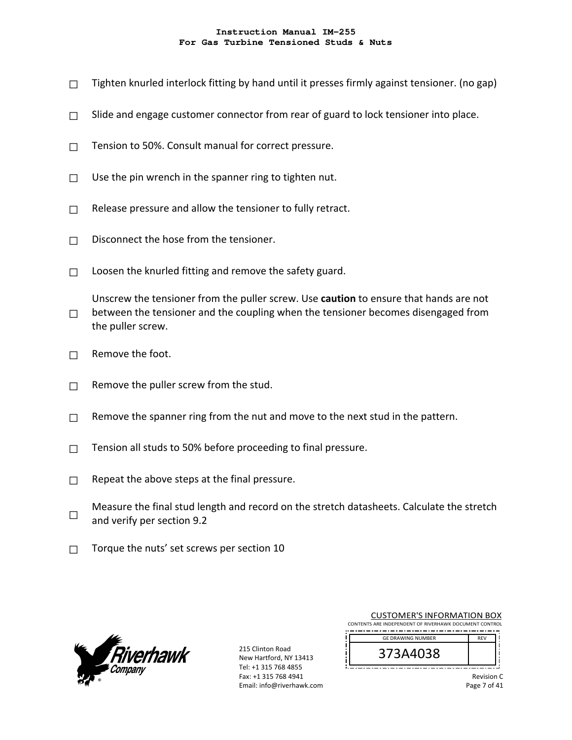- $\Box$  Tighten knurled interlock fitting by hand until it presses firmly against tensioner. (no gap)
- $\Box$  Slide and engage customer connector from rear of guard to lock tensioner into place.
- $\Box$  Tension to 50%. Consult manual for correct pressure.
- $\Box$  Use the pin wrench in the spanner ring to tighten nut.
- $\Box$  Release pressure and allow the tensioner to fully retract.
- $\Box$  Disconnect the hose from the tensioner.
- $\Box$  Loosen the knurled fitting and remove the safety guard.

□ Unscrew the tensioner from the puller screw. Use **caution** to ensure that hands are not between the tensioner and the coupling when the tensioner becomes disengaged from the puller screw.

- $\Box$  Remove the foot.
- $\Box$  Remove the puller screw from the stud.
- $\Box$  Remove the spanner ring from the nut and move to the next stud in the pattern.
- $\Box$  Tension all studs to 50% before proceeding to final pressure.
- $\Box$  Repeat the above steps at the final pressure.
- □ Measure the final stud length and record on the stretch datasheets. Calculate the stretch and verify per section 9.2
- $\Box$  Torque the nuts' set screws per section 10



215 Clinton Road New Hartford, NY 13413 Tel: +1 315 768 4855 Fax: +1 315 768 4941 Email: info@riverhawk.com

| <b>CUSTOMER'S INFORMATION BOX</b>                      |            |  |
|--------------------------------------------------------|------------|--|
| CONTENTS ARE INDEPENDENT OF RIVERHAWK DOCUMENT CONTROL |            |  |
| <b>GE DRAWING NUMBER</b>                               | <b>RFV</b> |  |
| 373A4038                                               |            |  |

Revision C

Page 7 of 41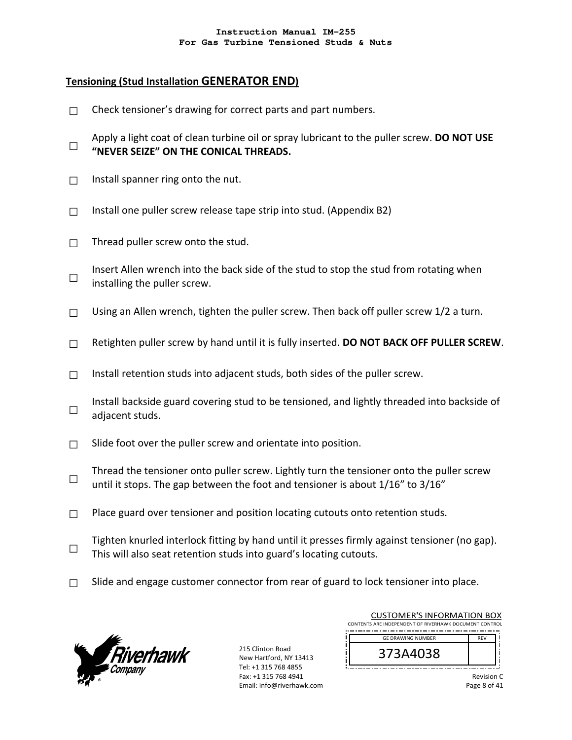## **Tensioning (Stud Installation GENERATOR END)**

- $\Box$  Check tensioner's drawing for correct parts and part numbers.
- □ Apply a light coat of clean turbine oil or spray lubricant to the puller screw. **DO NOT USE "NEVER SEIZE" ON THE CONICAL THREADS.**
- $\Box$  Install spanner ring onto the nut.
- $\Box$  Install one puller screw release tape strip into stud. (Appendix B2)
- $\Box$  Thread puller screw onto the stud.
- □ Insert Allen wrench into the back side of the stud to stop the stud from rotating when installing the puller screw.
- $\Box$  Using an Allen wrench, tighten the puller screw. Then back off puller screw 1/2 a turn.
- □ Retighten puller screw by hand until it is fully inserted. **DO NOT BACK OFF PULLER SCREW**.
- $\Box$  Install retention studs into adjacent studs, both sides of the puller screw.
- □ Install backside guard covering stud to be tensioned, and lightly threaded into backside of adjacent studs.
- $\Box$  Slide foot over the puller screw and orientate into position.
- □ Thread the tensioner onto puller screw. Lightly turn the tensioner onto the puller screw until it stops. The gap between the foot and tensioner is about 1/16" to 3/16"
- $\Box$  Place guard over tensioner and position locating cutouts onto retention studs.
- □ Tighten knurled interlock fitting by hand until it presses firmly against tensioner (no gap). This will also seat retention studs into guard's locating cutouts.
- $\Box$  Slide and engage customer connector from rear of guard to lock tensioner into place.



215 Clinton Road New Hartford, NY 13413 Tel: +1 315 768 4855 Fax: +1 315 768 4941 Email: info@riverhawk.com

| <b>CUSTOMER'S INFORMATION BOX</b>                      |            |  |
|--------------------------------------------------------|------------|--|
| CONTENTS ARE INDEPENDENT OF RIVERHAWK DOCUMENT CONTROL |            |  |
| <b>GE DRAWING NUMBER</b>                               | <b>RFV</b> |  |
| 373A4038                                               |            |  |

Revision C Page 8 of 41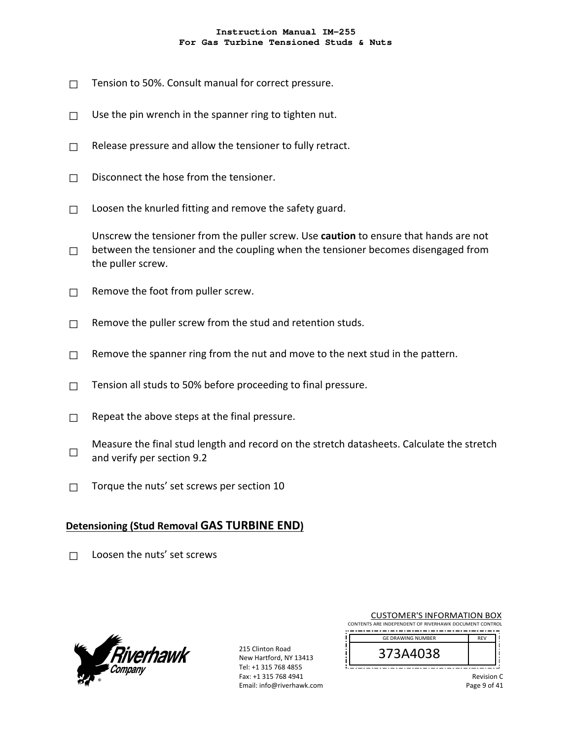- $\Box$  Tension to 50%. Consult manual for correct pressure.
- $\Box$  Use the pin wrench in the spanner ring to tighten nut.
- $\Box$  Release pressure and allow the tensioner to fully retract.
- $\Box$  Disconnect the hose from the tensioner.
- $\Box$  Loosen the knurled fitting and remove the safety guard.

 $\square$  between the tensioner and the coupling when the tensioner becomes disengaged from Unscrew the tensioner from the puller screw. Use **caution** to ensure that hands are not the puller screw.

- $\Box$  Remove the foot from puller screw.
- $\Box$  Remove the puller screw from the stud and retention studs.
- $\Box$  Remove the spanner ring from the nut and move to the next stud in the pattern.
- $\Box$  Tension all studs to 50% before proceeding to final pressure.
- $\Box$  Repeat the above steps at the final pressure.
- □ Measure the final stud length and record on the stretch datasheets. Calculate the stretch and verify per section 9.2
- $\Box$  Torque the nuts' set screws per section 10

# **Detensioning (Stud Removal GAS TURBINE END)**

 $\Box$  Loosen the nuts' set screws



215 Clinton Road New Hartford, NY 13413 Tel: +1 315 768 4855 Fax: +1 315 768 4941 Email: info@riverhawk.com

| <b>CUSTOMER'S INFORMATION BOX</b><br>CONTENTS ARE INDEPENDENT OF RIVERHAWK DOCUMENT CONTROL |            |  |
|---------------------------------------------------------------------------------------------|------------|--|
| <b>GE DRAWING NUMBER</b>                                                                    | <b>REV</b> |  |
|                                                                                             |            |  |

Revision C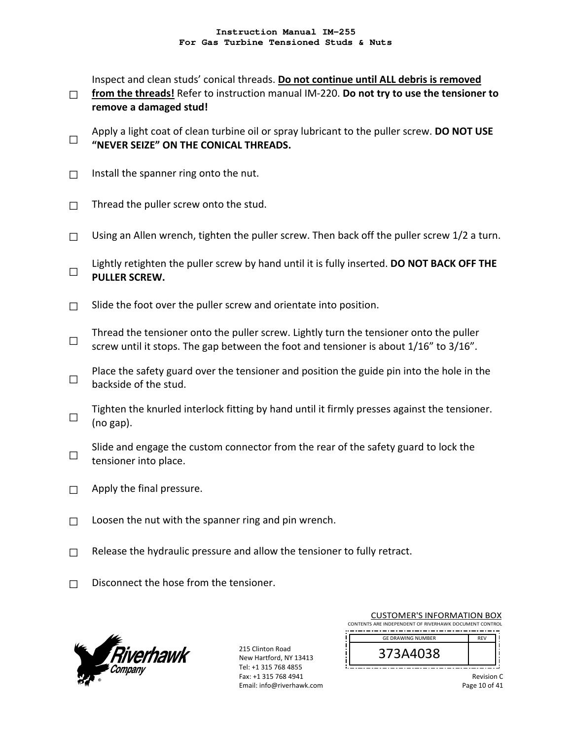Inspect and clean studs' conical threads. **Do not continue until ALL debris is removed** 

- □ from the threads! Refer to instruction manual IM-220. Do not try to use the tensioner to **remove a damaged stud!**
- □ **"NEVER SEIZE" ON THE CONICAL THREADS.** Apply a light coat of clean turbine oil or spray lubricant to the puller screw. **DO NOT USE**
- $\Box$  Install the spanner ring onto the nut.
- $\Box$  Thread the puller screw onto the stud.
- $\Box$  Using an Allen wrench, tighten the puller screw. Then back off the puller screw 1/2 a turn.
- □ Lightly retighten the puller screw by hand until it is fully inserted. **DO NOT BACK OFF THE PULLER SCREW.**
- $\Box$  Slide the foot over the puller screw and orientate into position.
- □ Thread the tensioner onto the puller screw. Lightly turn the tensioner onto the puller screw until it stops. The gap between the foot and tensioner is about 1/16" to 3/16".
- □ Place the safety guard over the tensioner and position the guide pin into the hole in the backside of the stud.
- □ Tighten the knurled interlock fitting by hand until it firmly presses against the tensioner. (no gap).
- □ Slide and engage the custom connector from the rear of the safety guard to lock the tensioner into place.
- $\Box$  Apply the final pressure.
- $\Box$  Loosen the nut with the spanner ring and pin wrench.
- $\Box$  Release the hydraulic pressure and allow the tensioner to fully retract.
- $\Box$  Disconnect the hose from the tensioner.



215 Clinton Road New Hartford, NY 13413 Tel: +1 315 768 4855 Fax: +1 315 768 4941 Email: info@riverhawk.com

| <b>CUSTOMER'S INFORMATION BOX</b><br>CONTENTS ARE INDEPENDENT OF RIVERHAWK DOCUMENT CONTROL |            |  |
|---------------------------------------------------------------------------------------------|------------|--|
| <b>GE DRAWING NUMBER</b>                                                                    | <b>RFV</b> |  |
| 373A4038                                                                                    |            |  |

Revision C

Page 10 of 41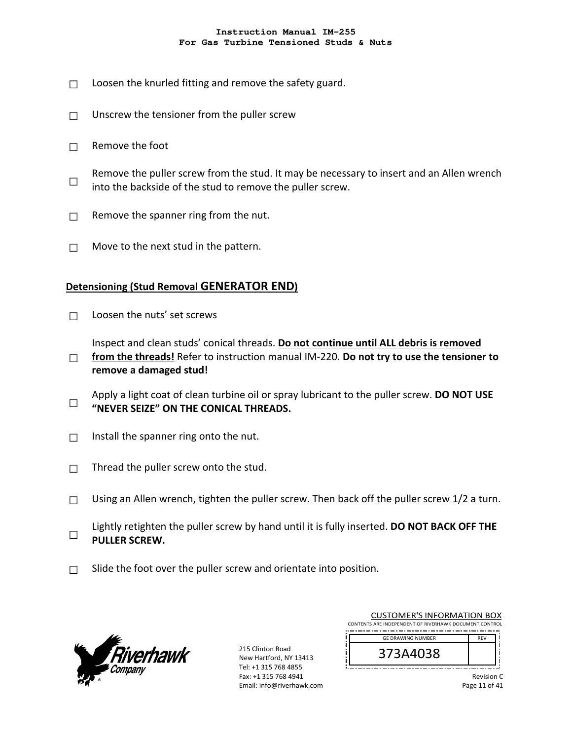- $\Box$  Loosen the knurled fitting and remove the safety guard.
- $\Box$  Unscrew the tensioner from the puller screw
- $\Box$  Remove the foot
- □ Remove the puller screw from the stud. It may be necessary to insert and an Allen wrench into the backside of the stud to remove the puller screw.
- $\Box$  Remove the spanner ring from the nut.
- $\Box$  Move to the next stud in the pattern.

### **Detensioning (Stud Removal GENERATOR END)**

 $\Box$  Loosen the nuts' set screws

Inspect and clean studs' conical threads. **Do not continue until ALL debris is removed** 

- □ **from the threads!** Refer to instruction manual IM‐220. **Do not try to use the tensioner to remove a damaged stud!**
- □ Apply a light coat of clean turbine oil or spray lubricant to the puller screw. **DO NOT USE "NEVER SEIZE" ON THE CONICAL THREADS.**
- $\Box$  Install the spanner ring onto the nut.
- $\Box$  Thread the puller screw onto the stud.
- $\Box$  Using an Allen wrench, tighten the puller screw. Then back off the puller screw 1/2 a turn.
- □ Lightly retighten the puller screw by hand until it is fully inserted. **DO NOT BACK OFF THE PULLER SCREW.**
- $\Box$  Slide the foot over the puller screw and orientate into position.



215 Clinton Road New Hartford, NY 13413 Tel: +1 315 768 4855 Fax: +1 315 768 4941 Email: info@riverhawk.com

| CONTENTS ARE INDEPENDENT OF RIVERHAWK DOCUMENT CONTROL<br><b>GE DRAWING NUMBER</b><br><b>RFV</b><br>373A4038 | <b>CUSTOMER'S INFORMATION BOX</b> |  |
|--------------------------------------------------------------------------------------------------------------|-----------------------------------|--|
|                                                                                                              |                                   |  |
|                                                                                                              |                                   |  |
|                                                                                                              |                                   |  |

Revision C Page 11 of 41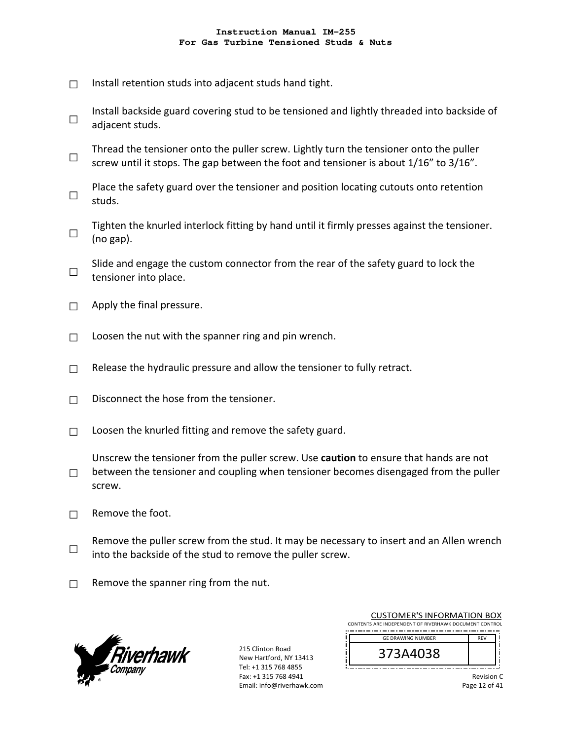- $\Box$  Install retention studs into adjacent studs hand tight.
- □ Install backside guard covering stud to be tensioned and lightly threaded into backside of adjacent studs.
- □ Thread the tensioner onto the puller screw. Lightly turn the tensioner onto the puller screw until it stops. The gap between the foot and tensioner is about 1/16" to 3/16".
- □ Place the safety guard over the tensioner and position locating cutouts onto retention studs.
- □ Tighten the knurled interlock fitting by hand until it firmly presses against the tensioner. (no gap).
- □ Slide and engage the custom connector from the rear of the safety guard to lock the tensioner into place.
- $\Box$  Apply the final pressure.
- $\Box$  Loosen the nut with the spanner ring and pin wrench.
- $\Box$  Release the hydraulic pressure and allow the tensioner to fully retract.
- $\Box$  Disconnect the hose from the tensioner.
- $\Box$  Loosen the knurled fitting and remove the safety guard.
- $\square$  between the tensioner and coupling when tensioner becomes disengaged from the puller Unscrew the tensioner from the puller screw. Use **caution** to ensure that hands are not screw.
- $\Box$  Remove the foot.
- □ Remove the puller screw from the stud. It may be necessary to insert and an Allen wrench into the backside of the stud to remove the puller screw.
- $\Box$  Remove the spanner ring from the nut.



215 Clinton Road New Hartford, NY 13413 Tel: +1 315 768 4855 Fax: +1 315 768 4941 Email: info@riverhawk.com

| <b>CUSTOMER'S INFORMATION BOX</b><br>CONTENTS ARE INDEPENDENT OF RIVERHAWK DOCUMENT CONTROL |            |  |
|---------------------------------------------------------------------------------------------|------------|--|
| <b>GE DRAWING NUMBER</b>                                                                    | <b>RFV</b> |  |
| 373A4038                                                                                    |            |  |
|                                                                                             |            |  |

Revision C Page 12 of 41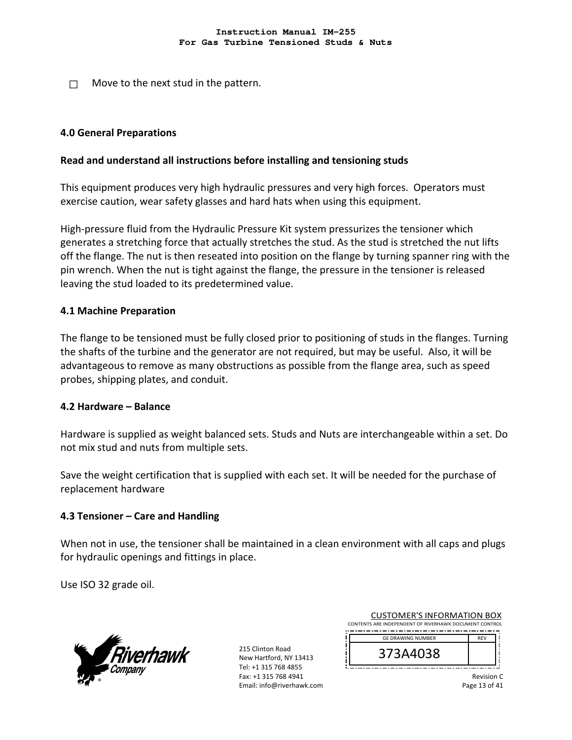$\Box$  Move to the next stud in the pattern.

### **4.0 General Preparations**

### **Read and understand all instructions before installing and tensioning studs**

This equipment produces very high hydraulic pressures and very high forces. Operators must exercise caution, wear safety glasses and hard hats when using this equipment.

High-pressure fluid from the Hydraulic Pressure Kit system pressurizes the tensioner which generates a stretching force that actually stretches the stud. As the stud is stretched the nut lifts off the flange. The nut is then reseated into position on the flange by turning spanner ring with the pin wrench. When the nut is tight against the flange, the pressure in the tensioner is released leaving the stud loaded to its predetermined value.

### **4.1 Machine Preparation**

The flange to be tensioned must be fully closed prior to positioning of studs in the flanges. Turning the shafts of the turbine and the generator are not required, but may be useful. Also, it will be advantageous to remove as many obstructions as possible from the flange area, such as speed probes, shipping plates, and conduit.

#### **4.2 Hardware – Balance**

Hardware is supplied as weight balanced sets. Studs and Nuts are interchangeable within a set. Do not mix stud and nuts from multiple sets.

Save the weight certification that is supplied with each set. It will be needed for the purchase of replacement hardware

#### **4.3 Tensioner – Care and Handling**

When not in use, the tensioner shall be maintained in a clean environment with all caps and plugs for hydraulic openings and fittings in place.

Use ISO 32 grade oil.



215 Clinton Road New Hartford, NY 13413 Tel: +1 315 768 4855 Fax: +1 315 768 4941 Email: info@riverhawk.com

| <b>CUSTOMER'S INFORMATION BOX</b>                      |            |
|--------------------------------------------------------|------------|
| CONTENTS ARE INDEPENDENT OF RIVERHAWK DOCUMENT CONTROL |            |
| <b>GE DRAWING NUMBER</b>                               | <b>RFV</b> |
| 373A4038                                               |            |
|                                                        |            |

Revision C Page 13 of 41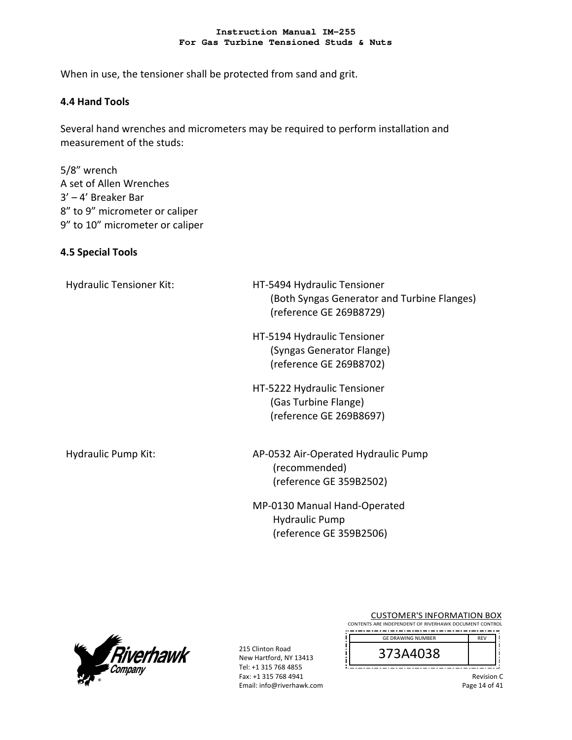When in use, the tensioner shall be protected from sand and grit.

### **4.4 Hand Tools**

Several hand wrenches and micrometers may be required to perform installation and measurement of the studs:

5/8" wrench A set of Allen Wrenches 3' – 4' Breaker Bar 8" to 9" micrometer or caliper 9" to 10" micrometer or caliper

### **4.5 Special Tools**

| <b>Hydraulic Tensioner Kit:</b> | HT-5494 Hydraulic Tensioner<br>(Both Syngas Generator and Turbine Flanges)<br>(reference GE 269B8729) |
|---------------------------------|-------------------------------------------------------------------------------------------------------|
|                                 | HT-5194 Hydraulic Tensioner<br>(Syngas Generator Flange)<br>(reference GE 269B8702)                   |
|                                 | HT-5222 Hydraulic Tensioner<br>(Gas Turbine Flange)<br>(reference GE 269B8697)                        |
| Hydraulic Pump Kit:             | AP-0532 Air-Operated Hydraulic Pump<br>(recommended)<br>(reference GE 359B2502)                       |
|                                 | MP-0130 Manual Hand-Operated<br><b>Hydraulic Pump</b>                                                 |



215 Clinton Road New Hartford, NY 13413 Tel: +1 315 768 4855 Fax: +1 315 768 4941 Email: info@riverhawk.com

(reference GE 359B2506)

CUSTOMER'S INFORMATION BOX CONTENTS ARE INDEPENDENT OF RIVERHAWK DOCUMENT CONTROL REV GE DRAWING NUMBER

| C<br>A4038<br>ر .                                   |    |
|-----------------------------------------------------|----|
| --<br>--<br>----<br>--<br>----<br>--<br>- - -<br>-- | -- |

Revision C

Page 14 of 41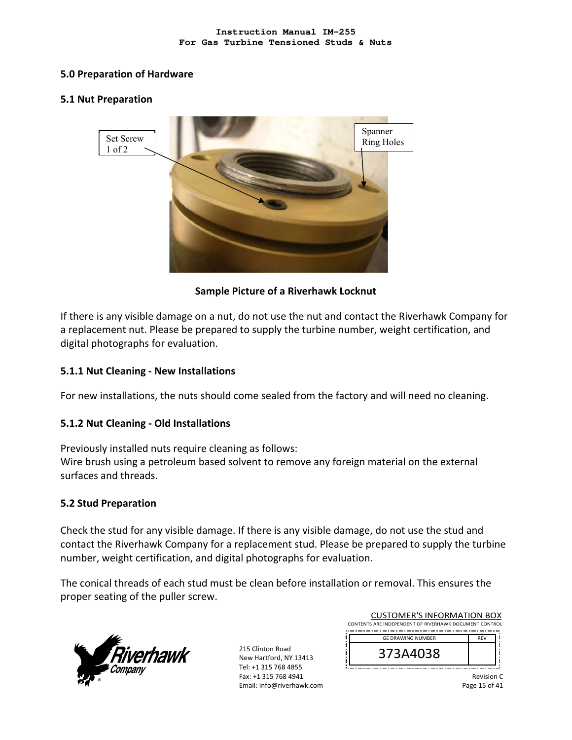### **5.0 Preparation of Hardware**

### **5.1 Nut Preparation**



### **Sample Picture of a Riverhawk Locknut**

If there is any visible damage on a nut, do not use the nut and contact the Riverhawk Company for a replacement nut. Please be prepared to supply the turbine number, weight certification, and digital photographs for evaluation.

### **5.1.1 Nut Cleaning ‐ New Installations**

For new installations, the nuts should come sealed from the factory and will need no cleaning.

### **5.1.2 Nut Cleaning ‐ Old Installations**

Previously installed nuts require cleaning as follows: Wire brush using a petroleum based solvent to remove any foreign material on the external surfaces and threads.

### **5.2 Stud Preparation**

Check the stud for any visible damage. If there is any visible damage, do not use the stud and contact the Riverhawk Company for a replacement stud. Please be prepared to supply the turbine number, weight certification, and digital photographs for evaluation.

The conical threads of each stud must be clean before installation or removal. This ensures the proper seating of the puller screw.



215 Clinton Road New Hartford, NY 13413 Tel: +1 315 768 4855 Fax: +1 315 768 4941 Email: info@riverhawk.com

| CUSTUMER S INFORMATION BUX                             |            |
|--------------------------------------------------------|------------|
| CONTENTS ARE INDEPENDENT OF RIVERHAWK DOCUMENT CONTROL |            |
|                                                        |            |
| <b>GE DRAWING NUMBER</b>                               | <b>REV</b> |
|                                                        |            |
| 373A4038                                               |            |
|                                                        |            |
|                                                        |            |
|                                                        |            |

CUCTOMERIC INFORMATION BOY

Revision C Page 15 of 41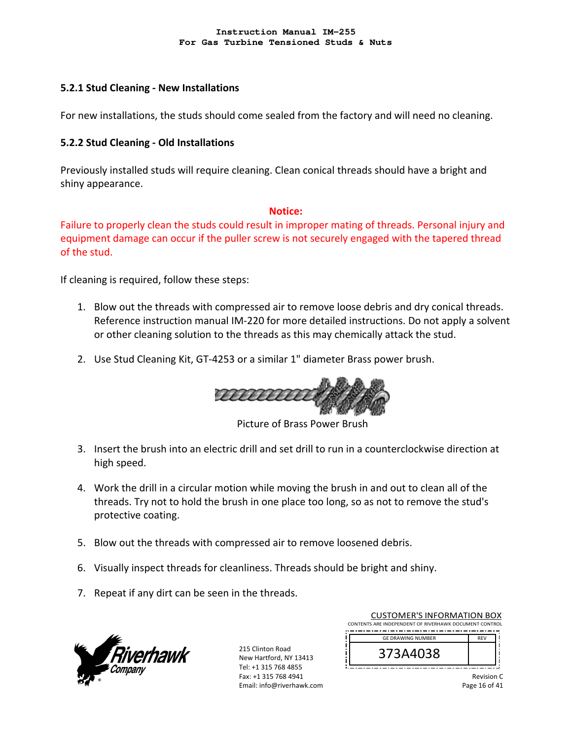### **5.2.1 Stud Cleaning ‐ New Installations**

For new installations, the studs should come sealed from the factory and will need no cleaning.

### **5.2.2 Stud Cleaning ‐ Old Installations**

Previously installed studs will require cleaning. Clean conical threads should have a bright and shiny appearance.

#### **Notice:**

Failure to properly clean the studs could result in improper mating of threads. Personal injury and equipment damage can occur if the puller screw is not securely engaged with the tapered thread of the stud.

If cleaning is required, follow these steps:

- 1. Blow out the threads with compressed air to remove loose debris and dry conical threads. Reference instruction manual IM‐220 for more detailed instructions. Do not apply a solvent or other cleaning solution to the threads as this may chemically attack the stud.
- 2. Use Stud Cleaning Kit, GT-4253 or a similar 1" diameter Brass power brush.



Picture of Brass Power Brush

- 3. Insert the brush into an electric drill and set drill to run in a counterclockwise direction at high speed.
- 4. Work the drill in a circular motion while moving the brush in and out to clean all of the threads. Try not to hold the brush in one place too long, so as not to remove the stud's protective coating.
- 5. Blow out the threads with compressed air to remove loosened debris.
- 6. Visually inspect threads for cleanliness. Threads should be bright and shiny.
- 7. Repeat if any dirt can be seen in the threads.



215 Clinton Road New Hartford, NY 13413 Tel: +1 315 768 4855 Fax: +1 315 768 4941 Email: info@riverhawk.com

| <b>CUSTOMER'S INFORMATION BOX</b><br>CONTENTS ARE INDEPENDENT OF RIVERHAWK DOCUMENT CONTROL |            |  |
|---------------------------------------------------------------------------------------------|------------|--|
| <b>GE DRAWING NUMBER</b>                                                                    | <b>REV</b> |  |
| 373A4038                                                                                    |            |  |
|                                                                                             |            |  |

Revision C Page 16 of 41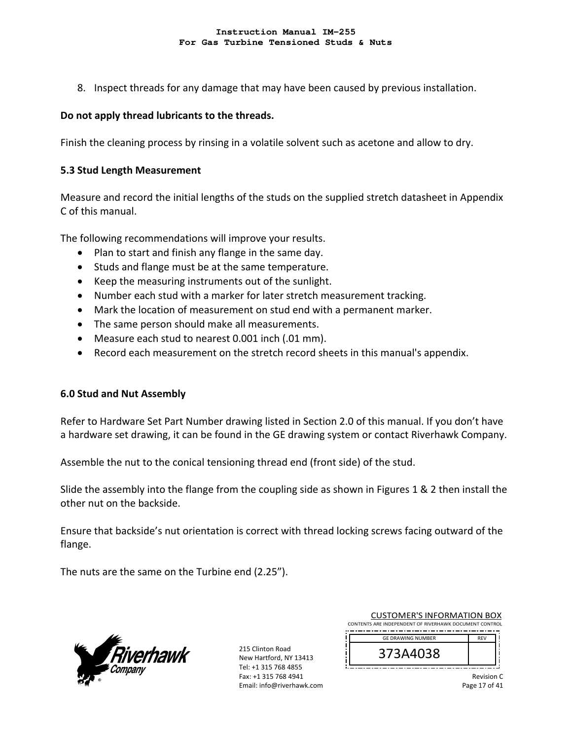8. Inspect threads for any damage that may have been caused by previous installation.

### **Do not apply thread lubricants to the threads.**

Finish the cleaning process by rinsing in a volatile solvent such as acetone and allow to dry.

### **5.3 Stud Length Measurement**

Measure and record the initial lengths of the studs on the supplied stretch datasheet in Appendix C of this manual.

The following recommendations will improve your results.

- Plan to start and finish any flange in the same day.
- Studs and flange must be at the same temperature.
- Keep the measuring instruments out of the sunlight.
- Number each stud with a marker for later stretch measurement tracking.
- Mark the location of measurement on stud end with a permanent marker.
- The same person should make all measurements.
- Measure each stud to nearest 0.001 inch (.01 mm).
- Record each measurement on the stretch record sheets in this manual's appendix.

### **6.0 Stud and Nut Assembly**

Refer to Hardware Set Part Number drawing listed in Section 2.0 of this manual. If you don't have a hardware set drawing, it can be found in the GE drawing system or contact Riverhawk Company.

Assemble the nut to the conical tensioning thread end (front side) of the stud.

Slide the assembly into the flange from the coupling side as shown in Figures 1 & 2 then install the other nut on the backside.

Ensure that backside's nut orientation is correct with thread locking screws facing outward of the flange.

The nuts are the same on the Turbine end (2.25").



215 Clinton Road New Hartford, NY 13413 Tel: +1 315 768 4855 Fax: +1 315 768 4941 Email: info@riverhawk.com

| <b>CUSTOMER'S INFORMATION BOX</b>                      |            |
|--------------------------------------------------------|------------|
| CONTENTS ARE INDEPENDENT OF RIVERHAWK DOCUMENT CONTROL |            |
| <b>GE DRAWING NUMBER</b>                               | <b>REV</b> |
| 373A4038                                               |            |
|                                                        |            |

Revision C Page 17 of 41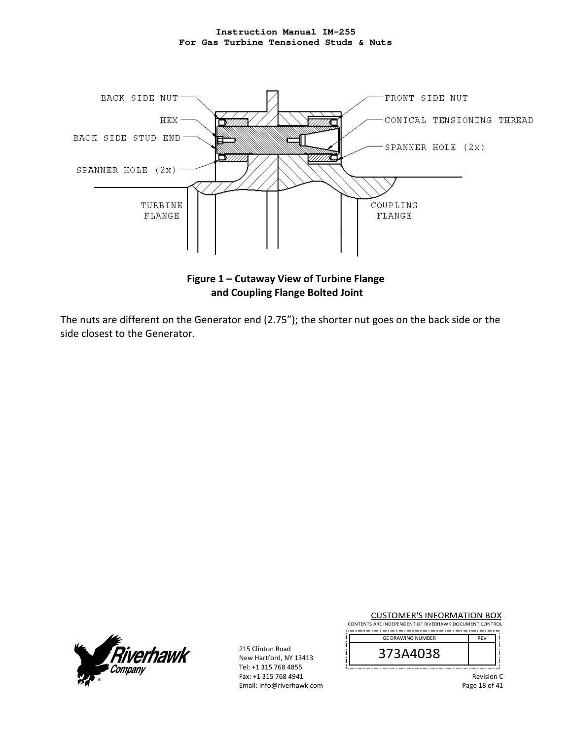

The nuts are different on the Generator end (2.75"); the shorter nut goes on the back side or the side closest to the Generator.



215 Clinton Road New Hartford, NY 13413 Tel: +1 315 768 4855 Fax: +1 315 768 4941 Email: info@riverhawk.com

CUSTOMER'S INFORMATION BOX CONTENTS ARE INDEPENDENT OF RIVERHAWK DOCUMENT CONTROL

| <b>GE DRAWING NUMBER</b> | 3 F V |
|--------------------------|-------|
| 373A4038                 |       |

Revision C

Page 18 of 41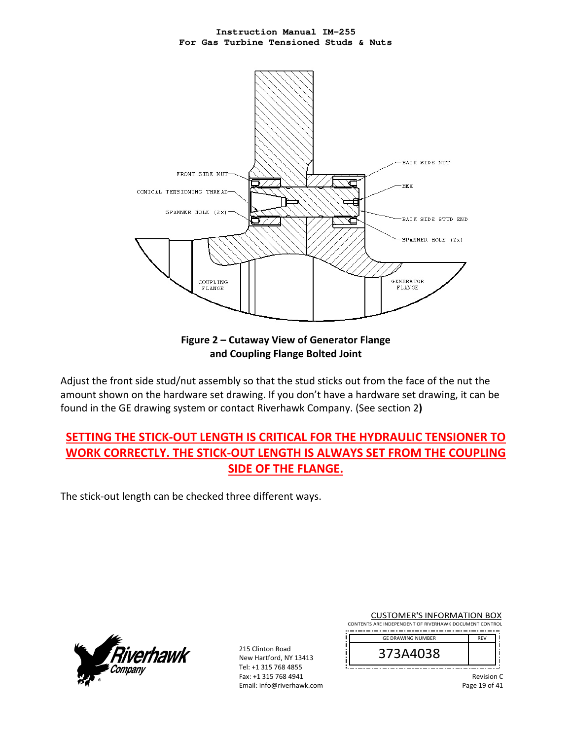

**Figure 2 – Cutaway View of Generator Flange and Coupling Flange Bolted Joint** 

Adjust the front side stud/nut assembly so that the stud sticks out from the face of the nut the amount shown on the hardware set drawing. If you don't have a hardware set drawing, it can be found in the GE drawing system or contact Riverhawk Company. (See section 2**)** 

# **SETTING THE STICK‐OUT LENGTH IS CRITICAL FOR THE HYDRAULIC TENSIONER TO WORK CORRECTLY. THE STICK‐OUT LENGTH IS ALWAYS SET FROM THE COUPLING SIDE OF THE FLANGE.**

The stick‐out length can be checked three different ways.



215 Clinton Road New Hartford, NY 13413 Tel: +1 315 768 4855 Fax: +1 315 768 4941 Email: info@riverhawk.com

CUSTOMER'S INFORMATION BOX CONTENTS ARE INDEPENDENT OF RIVERHAWK DOCUMENT CONTROL 

| <b>GE DRAWING NUMBER</b> |  |
|--------------------------|--|
| 373A4038                 |  |

GE DRAWING NUMBER

Revision C

Page 19 of 41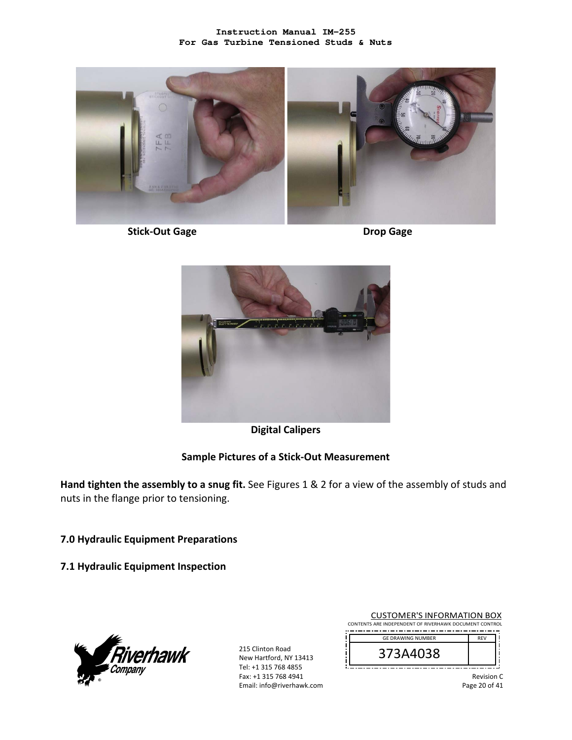

 **Stick‐Out Gage Drop Gage** 



**Digital Calipers** 

### **Sample Pictures of a Stick‐Out Measurement**

**Hand tighten the assembly to a snug fit.** See Figures 1 & 2 for a view of the assembly of studs and nuts in the flange prior to tensioning.

### **7.0 Hydraulic Equipment Preparations**

**7.1 Hydraulic Equipment Inspection** 



215 Clinton Road New Hartford, NY 13413 Tel: +1 315 768 4855 Fax: +1 315 768 4941 Email: info@riverhawk.com

| <b>CUSTOMER'S INFORMATION BOX</b>                      |            |  |
|--------------------------------------------------------|------------|--|
| CONTENTS ARE INDEPENDENT OF RIVERHAWK DOCUMENT CONTROL |            |  |
|                                                        |            |  |
| <b>GE DRAWING NUMBER</b>                               | <b>RFV</b> |  |

| 73A4038<br>C |  |
|--------------|--|
|              |  |

Revision C

Page 20 of 41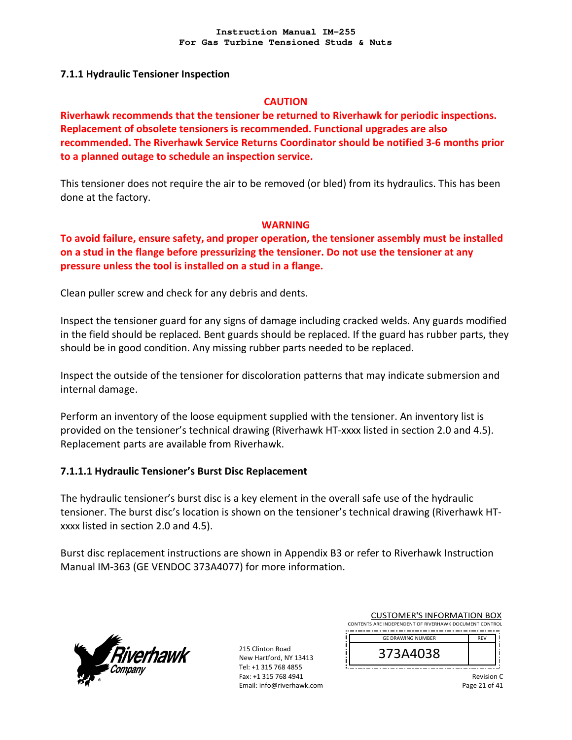### **7.1.1 Hydraulic Tensioner Inspection**

### **CAUTION**

**Riverhawk recommends that the tensioner be returned to Riverhawk for periodic inspections. Replacement of obsolete tensioners is recommended. Functional upgrades are also recommended. The Riverhawk Service Returns Coordinator should be notified 3‐6 months prior to a planned outage to schedule an inspection service.** 

This tensioner does not require the air to be removed (or bled) from its hydraulics. This has been done at the factory.

### **WARNING**

**To avoid failure, ensure safety, and proper operation, the tensioner assembly must be installed on a stud in the flange before pressurizing the tensioner. Do not use the tensioner at any pressure unless the tool is installed on a stud in a flange.** 

Clean puller screw and check for any debris and dents.

Inspect the tensioner guard for any signs of damage including cracked welds. Any guards modified in the field should be replaced. Bent guards should be replaced. If the guard has rubber parts, they should be in good condition. Any missing rubber parts needed to be replaced.

Inspect the outside of the tensioner for discoloration patterns that may indicate submersion and internal damage.

Perform an inventory of the loose equipment supplied with the tensioner. An inventory list is provided on the tensioner's technical drawing (Riverhawk HT‐xxxx listed in section 2.0 and 4.5). Replacement parts are available from Riverhawk.

### **7.1.1.1 Hydraulic Tensioner's Burst Disc Replacement**

The hydraulic tensioner's burst disc is a key element in the overall safe use of the hydraulic tensioner. The burst disc's location is shown on the tensioner's technical drawing (Riverhawk HT‐ xxxx listed in section 2.0 and 4.5).

Burst disc replacement instructions are shown in Appendix B3 or refer to Riverhawk Instruction Manual IM‐363 (GE VENDOC 373A4077) for more information.



215 Clinton Road New Hartford, NY 13413 Tel: +1 315 768 4855 Fax: +1 315 768 4941 Email: info@riverhawk.com

| CONTENTS ARE INDEPENDENT OF RIVERHAWK DOCUMENT CONTROL<br><b>GE DRAWING NUMBER</b><br><b>REV</b><br>373A4038 | <b>CUSTOMER'S INFORMATION BOX</b> |  |
|--------------------------------------------------------------------------------------------------------------|-----------------------------------|--|
|                                                                                                              |                                   |  |
|                                                                                                              |                                   |  |
|                                                                                                              |                                   |  |

Revision C Page 21 of 41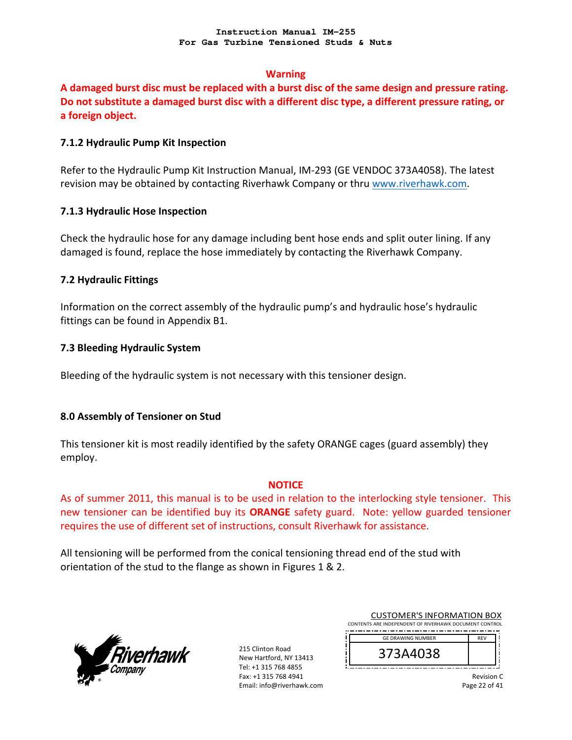### **Warning**

**A damaged burst disc must be replaced with a burst disc of the same design and pressure rating. Do not substitute a damaged burst disc with a different disc type, a different pressure rating, or a foreign object.**

### **7.1.2 Hydraulic Pump Kit Inspection**

Refer to the Hydraulic Pump Kit Instruction Manual, IM‐293 (GE VENDOC 373A4058). The latest revision may be obtained by contacting Riverhawk Company or thru www.riverhawk.com.

### **7.1.3 Hydraulic Hose Inspection**

Check the hydraulic hose for any damage including bent hose ends and split outer lining. If any damaged is found, replace the hose immediately by contacting the Riverhawk Company.

### **7.2 Hydraulic Fittings**

Information on the correct assembly of the hydraulic pump's and hydraulic hose's hydraulic fittings can be found in Appendix B1.

### **7.3 Bleeding Hydraulic System**

Bleeding of the hydraulic system is not necessary with this tensioner design.

### **8.0 Assembly of Tensioner on Stud**

This tensioner kit is most readily identified by the safety ORANGE cages (guard assembly) they employ.

#### **NOTICE**

As of summer 2011, this manual is to be used in relation to the interlocking style tensioner. This new tensioner can be identified buy its **ORANGE** safety guard. Note: yellow guarded tensioner requires the use of different set of instructions, consult Riverhawk for assistance.

All tensioning will be performed from the conical tensioning thread end of the stud with orientation of the stud to the flange as shown in Figures 1 & 2.



215 Clinton Road New Hartford, NY 13413 Tel: +1 315 768 4855 Fax: +1 315 768 4941 Email: info@riverhawk.com

| <b>CUSTOMER'S INFORMATION BOX</b><br>CONTENTS ARE INDEPENDENT OF RIVERHAWK DOCUMENT CONTROL |            |
|---------------------------------------------------------------------------------------------|------------|
| <b>GE DRAWING NUMBER</b>                                                                    | <b>REV</b> |
| 373A4038                                                                                    |            |

Revision C Page 22 of 41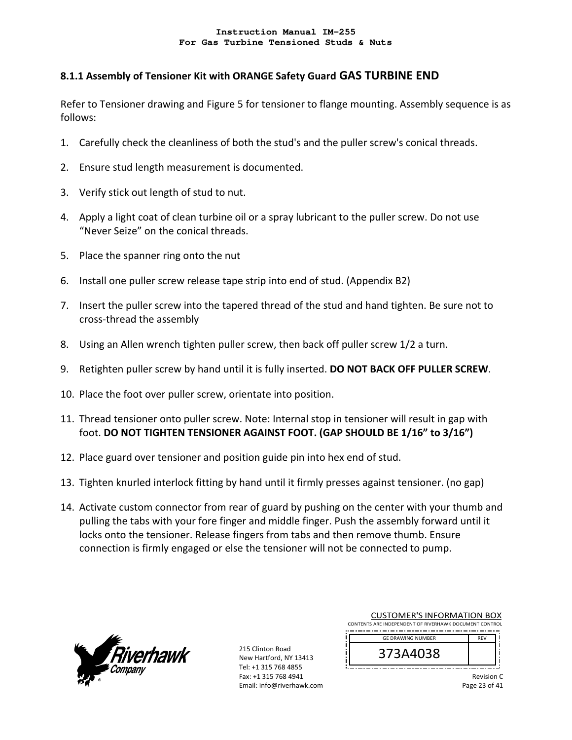# **8.1.1 Assembly of Tensioner Kit with ORANGE Safety Guard GAS TURBINE END**

Refer to Tensioner drawing and Figure 5 for tensioner to flange mounting. Assembly sequence is as follows:

- 1. Carefully check the cleanliness of both the stud's and the puller screw's conical threads.
- 2. Ensure stud length measurement is documented.
- 3. Verify stick out length of stud to nut.
- 4. Apply a light coat of clean turbine oil or a spray lubricant to the puller screw. Do not use "Never Seize" on the conical threads.
- 5. Place the spanner ring onto the nut
- 6. Install one puller screw release tape strip into end of stud. (Appendix B2)
- 7. Insert the puller screw into the tapered thread of the stud and hand tighten. Be sure not to cross‐thread the assembly
- 8. Using an Allen wrench tighten puller screw, then back off puller screw 1/2 a turn.
- 9. Retighten puller screw by hand until it is fully inserted. **DO NOT BACK OFF PULLER SCREW**.
- 10. Place the foot over puller screw, orientate into position.
- 11. Thread tensioner onto puller screw. Note: Internal stop in tensioner will result in gap with foot. **DO NOT TIGHTEN TENSIONER AGAINST FOOT. (GAP SHOULD BE 1/16" to 3/16")**
- 12. Place guard over tensioner and position guide pin into hex end of stud.
- 13. Tighten knurled interlock fitting by hand until it firmly presses against tensioner. (no gap)
- 14. Activate custom connector from rear of guard by pushing on the center with your thumb and pulling the tabs with your fore finger and middle finger. Push the assembly forward until it locks onto the tensioner. Release fingers from tabs and then remove thumb. Ensure connection is firmly engaged or else the tensioner will not be connected to pump.



215 Clinton Road New Hartford, NY 13413 Tel: +1 315 768 4855 Fax: +1 315 768 4941 Email: info@riverhawk.com

| <b>GE DRAWING NUMBER</b><br><b>REV</b> |  |
|----------------------------------------|--|
| 373A4038                               |  |

CUCTOMERIC INFORMATION BOY

Revision C Page 23 of 41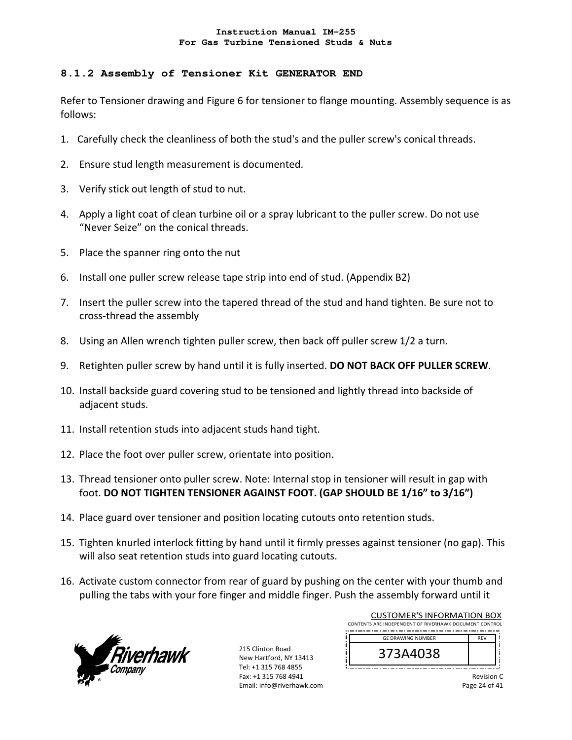### **8.1.2 Assembly of Tensioner Kit GENERATOR END**

Refer to Tensioner drawing and Figure 6 for tensioner to flange mounting. Assembly sequence is as follows:

- 1. Carefully check the cleanliness of both the stud's and the puller screw's conical threads.
- 2. Ensure stud length measurement is documented.
- 3. Verify stick out length of stud to nut.
- 4. Apply a light coat of clean turbine oil or a spray lubricant to the puller screw. Do not use "Never Seize" on the conical threads.
- 5. Place the spanner ring onto the nut
- 6. Install one puller screw release tape strip into end of stud. (Appendix B2)
- 7. Insert the puller screw into the tapered thread of the stud and hand tighten. Be sure not to cross‐thread the assembly
- 8. Using an Allen wrench tighten puller screw, then back off puller screw 1/2 a turn.
- 9. Retighten puller screw by hand until it is fully inserted. **DO NOT BACK OFF PULLER SCREW**.
- 10. Install backside guard covering stud to be tensioned and lightly thread into backside of adjacent studs.
- 11. Install retention studs into adjacent studs hand tight.
- 12. Place the foot over puller screw, orientate into position.
- 13. Thread tensioner onto puller screw. Note: Internal stop in tensioner will result in gap with foot. **DO NOT TIGHTEN TENSIONER AGAINST FOOT. (GAP SHOULD BE 1/16" to 3/16")**
- 14. Place guard over tensioner and position locating cutouts onto retention studs.
- 15. Tighten knurled interlock fitting by hand until it firmly presses against tensioner (no gap). This will also seat retention studs into guard locating cutouts.
- 16. Activate custom connector from rear of guard by pushing on the center with your thumb and pulling the tabs with your fore finger and middle finger. Push the assembly forward until it



215 Clinton Road New Hartford, NY 13413 Tel: +1 315 768 4855 Fax: +1 315 768 4941 Email: info@riverhawk.com

| CUSTOMER'S INFORMATION BOX                             |            |  |
|--------------------------------------------------------|------------|--|
| CONTENTS ARE INDEPENDENT OF RIVERHAWK DOCUMENT CONTROL |            |  |
|                                                        |            |  |
| <b>GE DRAWING NUMBER</b>                               | <b>REV</b> |  |
|                                                        |            |  |
| 373A4038                                               |            |  |
|                                                        |            |  |
|                                                        |            |  |

 $CUT$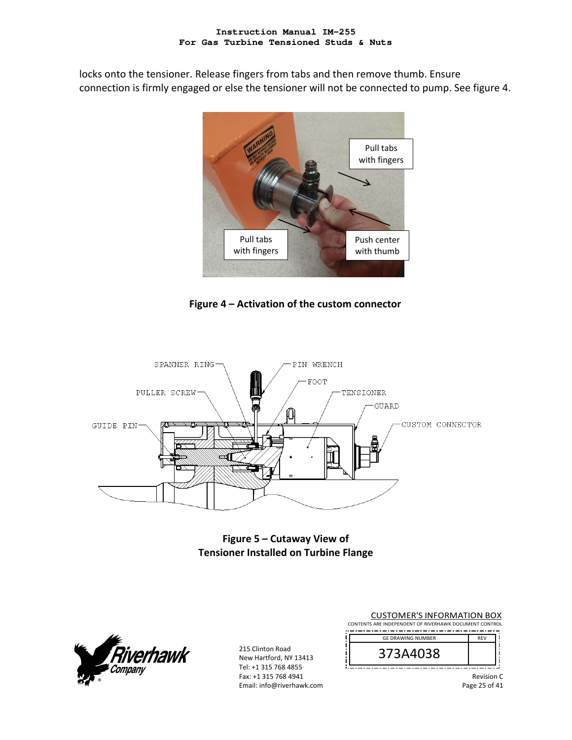locks onto the tensioner. Release fingers from tabs and then remove thumb. Ensure connection is firmly engaged or else the tensioner will not be connected to pump. See figure 4.



**Figure 4 – Activation of the custom connector**



**Figure 5 – Cutaway View of Tensioner Installed on Turbine Flange** 



215 Clinton Road New Hartford, NY 13413 Tel: +1 315 768 4855 Fax: +1 315 768 4941 Email: info@riverhawk.com

CUSTOMER'S INFORMATION BOX CONTENTS ARE INDEPENDENT OF RIVERHAWK DOCUMENT CONTROL REV GE DRAWING NUMBER

| GE DRAWING NUMBER | 2.51 |
|-------------------|------|
| 3A4U38            |      |

Revision C

Page 25 of 41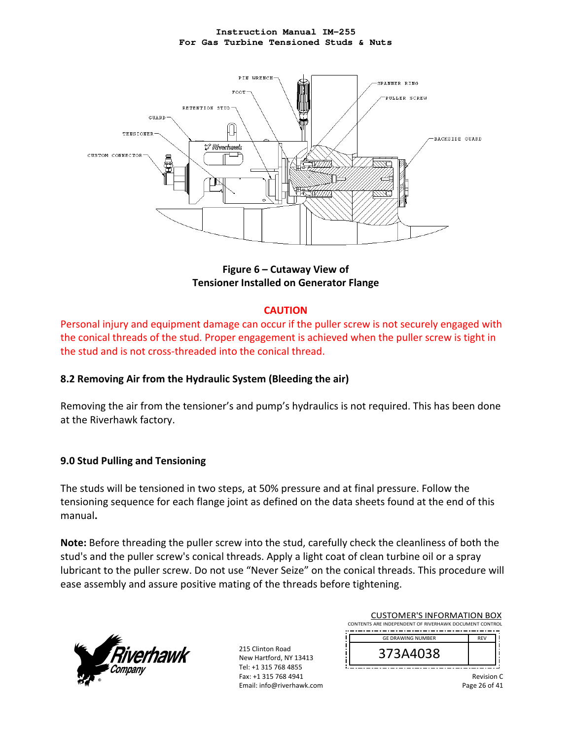

**Figure 6 – Cutaway View of Tensioner Installed on Generator Flange** 

### **CAUTION**

Personal injury and equipment damage can occur if the puller screw is not securely engaged with the conical threads of the stud. Proper engagement is achieved when the puller screw is tight in the stud and is not cross‐threaded into the conical thread.

# **8.2 Removing Air from the Hydraulic System (Bleeding the air)**

Removing the air from the tensioner's and pump's hydraulics is not required. This has been done at the Riverhawk factory.

# **9.0 Stud Pulling and Tensioning**

The studs will be tensioned in two steps, at 50% pressure and at final pressure. Follow the tensioning sequence for each flange joint as defined on the data sheets found at the end of this manual**.** 

**Note:** Before threading the puller screw into the stud, carefully check the cleanliness of both the stud's and the puller screw's conical threads. Apply a light coat of clean turbine oil or a spray lubricant to the puller screw. Do not use "Never Seize" on the conical threads. This procedure will ease assembly and assure positive mating of the threads before tightening.



215 Clinton Road New Hartford, NY 13413 Tel: +1 315 768 4855 Fax: +1 315 768 4941 Email: info@riverhawk.com

| <b>CUSTOMER'S INFORMATION BOX</b>                      |            |  |  |
|--------------------------------------------------------|------------|--|--|
| CONTENTS ARE INDEPENDENT OF RIVERHAWK DOCUMENT CONTROL |            |  |  |
| <b>GE DRAWING NUMBER</b>                               | <b>RFV</b> |  |  |
| 373A4038                                               |            |  |  |
|                                                        |            |  |  |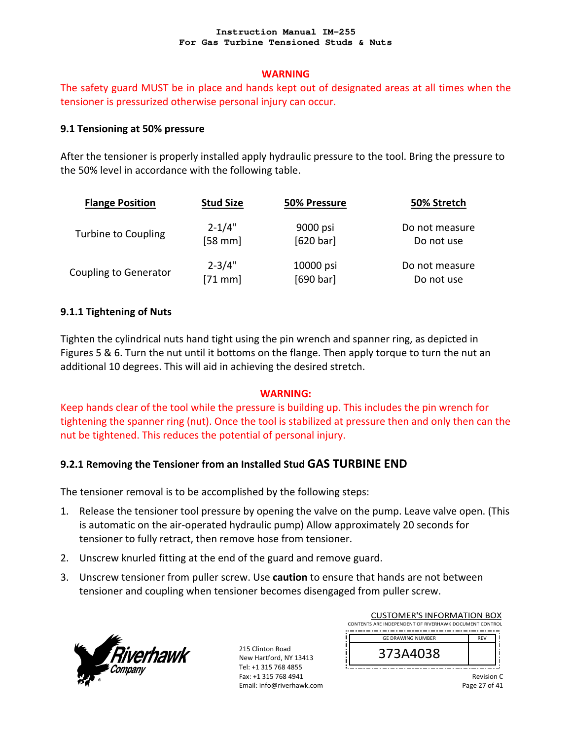### **WARNING**

The safety guard MUST be in place and hands kept out of designated areas at all times when the tensioner is pressurized otherwise personal injury can occur.

### **9.1 Tensioning at 50% pressure**

After the tensioner is properly installed apply hydraulic pressure to the tool. Bring the pressure to the 50% level in accordance with the following table.

| <b>Flange Position</b>       | <b>Stud Size</b> | 50% Pressure | 50% Stretch    |
|------------------------------|------------------|--------------|----------------|
| Turbine to Coupling          | $2 - 1/4"$       | 9000 psi     | Do not measure |
|                              | $[58$ mm         | [620 bar]    | Do not use     |
| <b>Coupling to Generator</b> | $2 - 3/4"$       | 10000 psi    | Do not measure |
|                              | $[71$ mm]        | [690 bar]    | Do not use     |

### **9.1.1 Tightening of Nuts**

Tighten the cylindrical nuts hand tight using the pin wrench and spanner ring, as depicted in Figures 5 & 6. Turn the nut until it bottoms on the flange. Then apply torque to turn the nut an additional 10 degrees. This will aid in achieving the desired stretch.

### **WARNING:**

Keep hands clear of the tool while the pressure is building up. This includes the pin wrench for tightening the spanner ring (nut). Once the tool is stabilized at pressure then and only then can the nut be tightened. This reduces the potential of personal injury.

# **9.2.1 Removing the Tensioner from an Installed Stud GAS TURBINE END**

The tensioner removal is to be accomplished by the following steps:

- 1. Release the tensioner tool pressure by opening the valve on the pump. Leave valve open. (This is automatic on the air‐operated hydraulic pump) Allow approximately 20 seconds for tensioner to fully retract, then remove hose from tensioner.
- 2. Unscrew knurled fitting at the end of the guard and remove guard.
- 3. Unscrew tensioner from puller screw. Use **caution** to ensure that hands are not between tensioner and coupling when tensioner becomes disengaged from puller screw.



215 Clinton Road New Hartford, NY 13413 Tel: +1 315 768 4855 Fax: +1 315 768 4941 Email: info@riverhawk.com

| <b>CUSTOMER'S INFORMATION BOX</b><br>CONTENTS ARE INDEPENDENT OF RIVERHAWK DOCUMENT CONTROL |            |  |
|---------------------------------------------------------------------------------------------|------------|--|
| <b>GE DRAWING NUMBER</b>                                                                    | <b>REV</b> |  |
| 373A4038                                                                                    |            |  |
|                                                                                             |            |  |

Revision C Page 27 of 41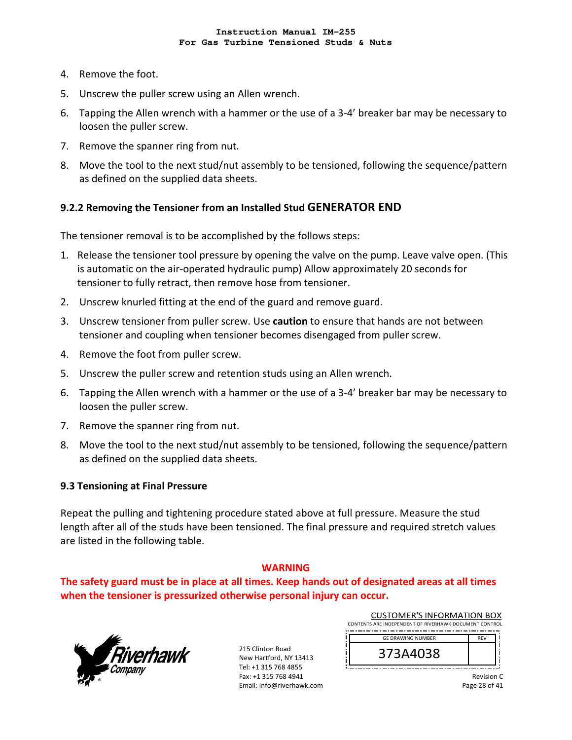- 4. Remove the foot.
- 5. Unscrew the puller screw using an Allen wrench.
- 6. Tapping the Allen wrench with a hammer or the use of a 3‐4' breaker bar may be necessary to loosen the puller screw.
- 7. Remove the spanner ring from nut.
- 8. Move the tool to the next stud/nut assembly to be tensioned, following the sequence/pattern as defined on the supplied data sheets.

# **9.2.2 Removing the Tensioner from an Installed Stud GENERATOR END**

The tensioner removal is to be accomplished by the follows steps:

- 1. Release the tensioner tool pressure by opening the valve on the pump. Leave valve open. (This is automatic on the air‐operated hydraulic pump) Allow approximately 20 seconds for tensioner to fully retract, then remove hose from tensioner.
- 2. Unscrew knurled fitting at the end of the guard and remove guard.
- 3. Unscrew tensioner from puller screw. Use **caution** to ensure that hands are not between tensioner and coupling when tensioner becomes disengaged from puller screw.
- 4. Remove the foot from puller screw.
- 5. Unscrew the puller screw and retention studs using an Allen wrench.
- 6. Tapping the Allen wrench with a hammer or the use of a 3‐4' breaker bar may be necessary to loosen the puller screw.
- 7. Remove the spanner ring from nut.
- 8. Move the tool to the next stud/nut assembly to be tensioned, following the sequence/pattern as defined on the supplied data sheets.

#### **9.3 Tensioning at Final Pressure**

Repeat the pulling and tightening procedure stated above at full pressure. Measure the stud length after all of the studs have been tensioned. The final pressure and required stretch values are listed in the following table.

#### **WARNING**

**The safety guard must be in place at all times. Keep hands out of designated areas at all times when the tensioner is pressurized otherwise personal injury can occur.** 



215 Clinton Road New Hartford, NY 13413 Tel: +1 315 768 4855 Fax: +1 315 768 4941 Email: info@riverhawk.com

| CONTENTS ARE INDEPENDENT OF RIVERHAWK DOCUMENT CONTROL |            |  |
|--------------------------------------------------------|------------|--|
| <b>GE DRAWING NUMBER</b>                               | <b>RFV</b> |  |
| 373A4038                                               |            |  |

Revision C

CUSTOMER'S INFORMATION BOX

Page 28 of 41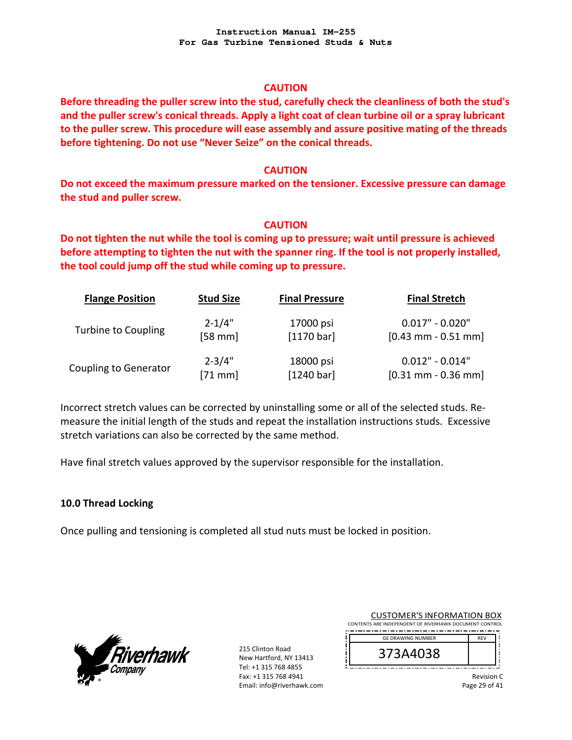#### **CAUTION**

**Before threading the puller screw into the stud, carefully check the cleanliness of both the stud's and the puller screw's conical threads. Apply a light coat of clean turbine oil or a spray lubricant to the puller screw. This procedure will ease assembly and assure positive mating of the threads before tightening. Do not use "Never Seize" on the conical threads.** 

### **CAUTION**

**Do not exceed the maximum pressure marked on the tensioner. Excessive pressure can damage the stud and puller screw.** 

### **CAUTION**

**Do not tighten the nut while the tool is coming up to pressure; wait until pressure is achieved before attempting to tighten the nut with the spanner ring. If the tool is not properly installed, the tool could jump off the stud while coming up to pressure.** 

| <b>Flange Position</b>       | <b>Stud Size</b>  | <b>Final Pressure</b> | <b>Final Stretch</b>  |
|------------------------------|-------------------|-----------------------|-----------------------|
| <b>Turbine to Coupling</b>   | $2 - 1/4"$        | 17000 psi             | $0.017" - 0.020"$     |
|                              | [58 mm]           | $[1170 \text{ bar}]$  | $[0.43$ mm - 0.51 mm  |
| <b>Coupling to Generator</b> | $2 - 3/4"$        | 18000 psi             | $0.012" - 0.014"$     |
|                              | $[71 \text{ mm}]$ | [1240 bar]            | $[0.31$ mm - 0.36 mm] |

Incorrect stretch values can be corrected by uninstalling some or all of the selected studs. Re‐ measure the initial length of the studs and repeat the installation instructions studs. Excessive stretch variations can also be corrected by the same method.

Have final stretch values approved by the supervisor responsible for the installation.

# **10.0 Thread Locking**

Once pulling and tensioning is completed all stud nuts must be locked in position.



215 Clinton Road New Hartford, NY 13413 Tel: +1 315 768 4855 Fax: +1 315 768 4941 Email: info@riverhawk.com

| <b>CUSTOMER'S INFORMATION BOX</b><br>CONTENTS ARE INDEPENDENT OF RIVERHAWK DOCUMENT CONTROL |            |  |
|---------------------------------------------------------------------------------------------|------------|--|
| <b>GE DRAWING NUMBER</b>                                                                    | <b>RFV</b> |  |
| 373A4038                                                                                    |            |  |

Revision C Page 29 of 41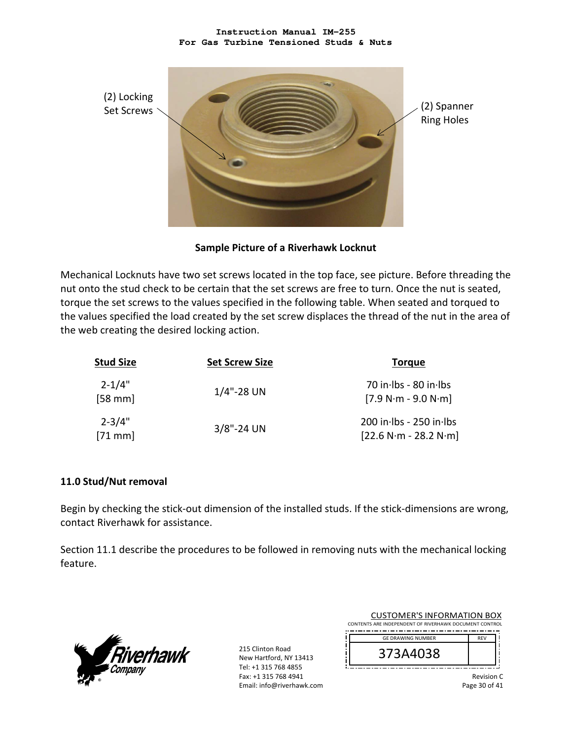

**Sample Picture of a Riverhawk Locknut** 

Mechanical Locknuts have two set screws located in the top face, see picture. Before threading the nut onto the stud check to be certain that the set screws are free to turn. Once the nut is seated, torque the set screws to the values specified in the following table. When seated and torqued to the values specified the load created by the set screw displaces the thread of the nut in the area of the web creating the desired locking action.

| <b>Stud Size</b>       | <b>Set Screw Size</b> | <b>Torque</b>                                          |
|------------------------|-----------------------|--------------------------------------------------------|
| $2 - 1/4"$<br>$[58$ mm | $1/4$ "-28 UN         | 70 in Ibs - 80 in Ibs<br>$[7.9 N·m - 9.0 N·m]$         |
| $2 - 3/4"$<br>$[71$ mm | $3/8$ "-24 UN         | $200$ in lbs - $250$ in lbs<br>$[22.6 N·m - 28.2 N·m]$ |

### **11.0 Stud/Nut removal**

Begin by checking the stick-out dimension of the installed studs. If the stick-dimensions are wrong, contact Riverhawk for assistance.

Section 11.1 describe the procedures to be followed in removing nuts with the mechanical locking feature.



215 Clinton Road New Hartford, NY 13413 Tel: +1 315 768 4855 Fax: +1 315 768 4941 Email: info@riverhawk.com

|                                                        | <b>CUSTOMER'S INFORMATION BOX</b> |            |
|--------------------------------------------------------|-----------------------------------|------------|
| CONTENTS ARE INDEPENDENT OF RIVERHAWK DOCUMENT CONTROL |                                   |            |
|                                                        | <b>GE DRAWING NUMBER</b>          | <b>REV</b> |
|                                                        | 373A4038                          |            |
|                                                        |                                   | Revision   |

Page 30 of 41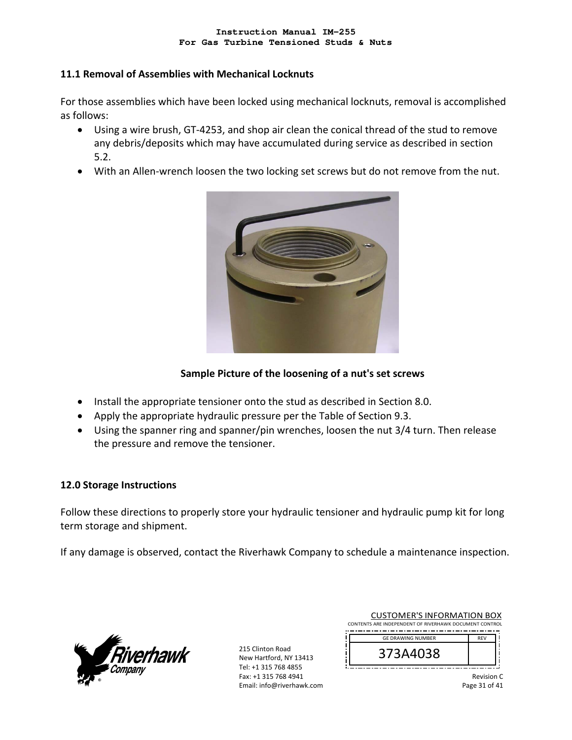### **11.1 Removal of Assemblies with Mechanical Locknuts**

For those assemblies which have been locked using mechanical locknuts, removal is accomplished as follows:

- Using a wire brush, GT‐4253, and shop air clean the conical thread of the stud to remove any debris/deposits which may have accumulated during service as described in section 5.2.
- With an Allen-wrench loosen the two locking set screws but do not remove from the nut.



# **Sample Picture of the loosening of a nut's set screws**

- Install the appropriate tensioner onto the stud as described in Section 8.0.
- Apply the appropriate hydraulic pressure per the Table of Section 9.3.
- Using the spanner ring and spanner/pin wrenches, loosen the nut 3/4 turn. Then release the pressure and remove the tensioner.

### **12.0 Storage Instructions**

Follow these directions to properly store your hydraulic tensioner and hydraulic pump kit for long term storage and shipment.

If any damage is observed, contact the Riverhawk Company to schedule a maintenance inspection.



215 Clinton Road New Hartford, NY 13413 Tel: +1 315 768 4855 Fax: +1 315 768 4941 Email: info@riverhawk.com

| <b>CUSTOMER'S INFORMATION BOX</b> |                                                        |            |
|-----------------------------------|--------------------------------------------------------|------------|
|                                   | CONTENTS ARE INDEPENDENT OF RIVERHAWK DOCUMENT CONTROL |            |
|                                   | <b>GE DRAWING NUMBER</b>                               | <b>RFV</b> |
|                                   | 373A4038                                               |            |
|                                   |                                                        |            |

Revision C Page 31 of 41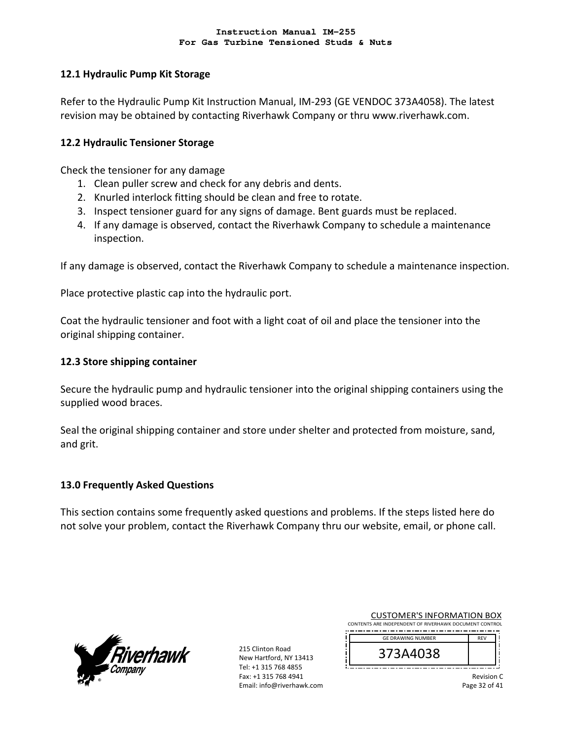### **12.1 Hydraulic Pump Kit Storage**

Refer to the Hydraulic Pump Kit Instruction Manual, IM‐293 (GE VENDOC 373A4058). The latest revision may be obtained by contacting Riverhawk Company or thru www.riverhawk.com.

### **12.2 Hydraulic Tensioner Storage**

Check the tensioner for any damage

- 1. Clean puller screw and check for any debris and dents.
- 2. Knurled interlock fitting should be clean and free to rotate.
- 3. Inspect tensioner guard for any signs of damage. Bent guards must be replaced.
- 4. If any damage is observed, contact the Riverhawk Company to schedule a maintenance inspection.

If any damage is observed, contact the Riverhawk Company to schedule a maintenance inspection.

Place protective plastic cap into the hydraulic port.

Coat the hydraulic tensioner and foot with a light coat of oil and place the tensioner into the original shipping container.

### **12.3 Store shipping container**

Secure the hydraulic pump and hydraulic tensioner into the original shipping containers using the supplied wood braces.

Seal the original shipping container and store under shelter and protected from moisture, sand, and grit.

### **13.0 Frequently Asked Questions**

This section contains some frequently asked questions and problems. If the steps listed here do not solve your problem, contact the Riverhawk Company thru our website, email, or phone call.



215 Clinton Road New Hartford, NY 13413 Tel: +1 315 768 4855 Fax: +1 315 768 4941 Email: info@riverhawk.com

| <b>CUSTOMER'S INFORMATION BOX</b><br>CONTENTS ARE INDEPENDENT OF RIVERHAWK DOCUMENT CONTROL |                          |            |  |
|---------------------------------------------------------------------------------------------|--------------------------|------------|--|
|                                                                                             | <b>GE DRAWING NUMBER</b> | <b>RFV</b> |  |
|                                                                                             | 373A4038                 |            |  |

Revision C

Page 32 of 41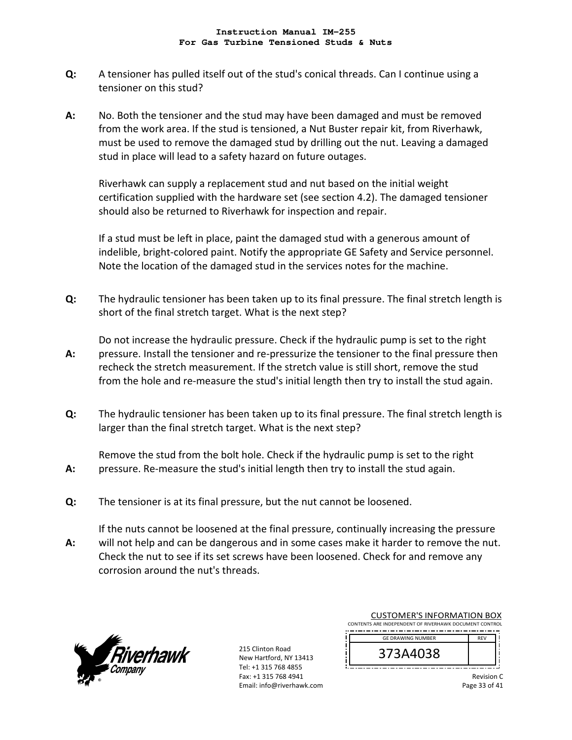- **Q:**  A tensioner has pulled itself out of the stud's conical threads. Can I continue using a tensioner on this stud?
- **A:**  No. Both the tensioner and the stud may have been damaged and must be removed from the work area. If the stud is tensioned, a Nut Buster repair kit, from Riverhawk, must be used to remove the damaged stud by drilling out the nut. Leaving a damaged stud in place will lead to a safety hazard on future outages.

Riverhawk can supply a replacement stud and nut based on the initial weight certification supplied with the hardware set (see section 4.2). The damaged tensioner should also be returned to Riverhawk for inspection and repair.

If a stud must be left in place, paint the damaged stud with a generous amount of indelible, bright‐colored paint. Notify the appropriate GE Safety and Service personnel. Note the location of the damaged stud in the services notes for the machine.

**Q:**  The hydraulic tensioner has been taken up to its final pressure. The final stretch length is short of the final stretch target. What is the next step?

**A:**  Do not increase the hydraulic pressure. Check if the hydraulic pump is set to the right pressure. Install the tensioner and re‐pressurize the tensioner to the final pressure then recheck the stretch measurement. If the stretch value is still short, remove the stud from the hole and re-measure the stud's initial length then try to install the stud again.

**Q:**  The hydraulic tensioner has been taken up to its final pressure. The final stretch length is larger than the final stretch target. What is the next step?

Remove the stud from the bolt hole. Check if the hydraulic pump is set to the right pressure. Re‐measure the stud's initial length then try to install the stud again.

**Q:**  The tensioner is at its final pressure, but the nut cannot be loosened.

**A:**  If the nuts cannot be loosened at the final pressure, continually increasing the pressure will not help and can be dangerous and in some cases make it harder to remove the nut. Check the nut to see if its set screws have been loosened. Check for and remove any corrosion around the nut's threads.



**A:** 

215 Clinton Road New Hartford, NY 13413 Tel: +1 315 768 4855 Fax: +1 315 768 4941 Email: info@riverhawk.com

| CUSTUMER S INFORMATION BUX                             |            |  |
|--------------------------------------------------------|------------|--|
| CONTENTS ARE INDEPENDENT OF RIVERHAWK DOCUMENT CONTROL |            |  |
|                                                        |            |  |
| <b>GE DRAWING NUMBER</b>                               | <b>REV</b> |  |
|                                                        |            |  |
| 373A4038                                               |            |  |
|                                                        |            |  |
|                                                        |            |  |
|                                                        |            |  |

CUCTOMERIC INFORMATION BOY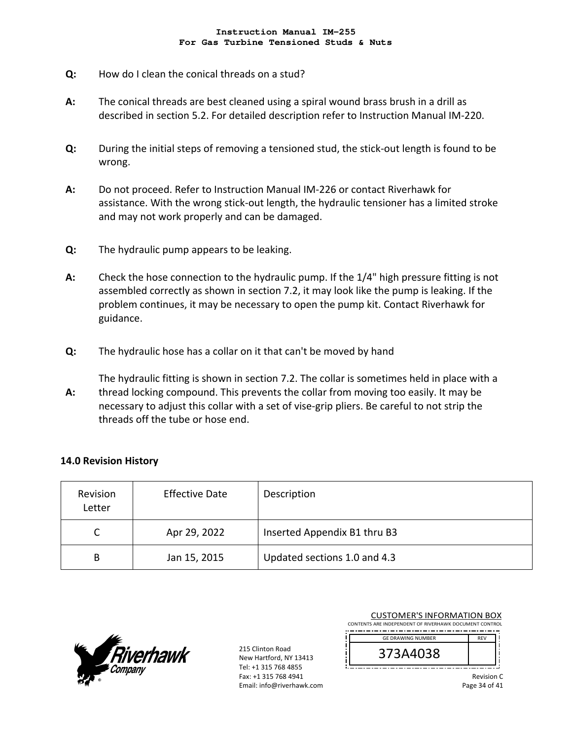- **Q:**  How do I clean the conical threads on a stud?
- **A:**  The conical threads are best cleaned using a spiral wound brass brush in a drill as described in section 5.2. For detailed description refer to Instruction Manual IM‐220.
- **Q:**  During the initial steps of removing a tensioned stud, the stick‐out length is found to be wrong.
- **A:**  Do not proceed. Refer to Instruction Manual IM‐226 or contact Riverhawk for assistance. With the wrong stick‐out length, the hydraulic tensioner has a limited stroke and may not work properly and can be damaged.
- **Q:**  The hydraulic pump appears to be leaking.
- **A:**  Check the hose connection to the hydraulic pump. If the 1/4" high pressure fitting is not assembled correctly as shown in section 7.2, it may look like the pump is leaking. If the problem continues, it may be necessary to open the pump kit. Contact Riverhawk for guidance.
- **Q:**  The hydraulic hose has a collar on it that can't be moved by hand
- **A:**  The hydraulic fitting is shown in section 7.2. The collar is sometimes held in place with a thread locking compound. This prevents the collar from moving too easily. It may be necessary to adjust this collar with a set of vise‐grip pliers. Be careful to not strip the threads off the tube or hose end.

### **14.0 Revision History**

| Revision<br>Letter | <b>Effective Date</b> | Description                  |
|--------------------|-----------------------|------------------------------|
|                    | Apr 29, 2022          | Inserted Appendix B1 thru B3 |
| B                  | Jan 15, 2015          | Updated sections 1.0 and 4.3 |



215 Clinton Road New Hartford, NY 13413 Tel: +1 315 768 4855 Fax: +1 315 768 4941 Email: info@riverhawk.com

| <b>CUSTOMER'S INFORMATION BOX</b><br>CONTENTS ARE INDEPENDENT OF RIVERHAWK DOCUMENT CONTROL |            |
|---------------------------------------------------------------------------------------------|------------|
| <b>GE DRAWING NUMBER</b>                                                                    | <b>REV</b> |
| 373A4038                                                                                    |            |
|                                                                                             | Revision C |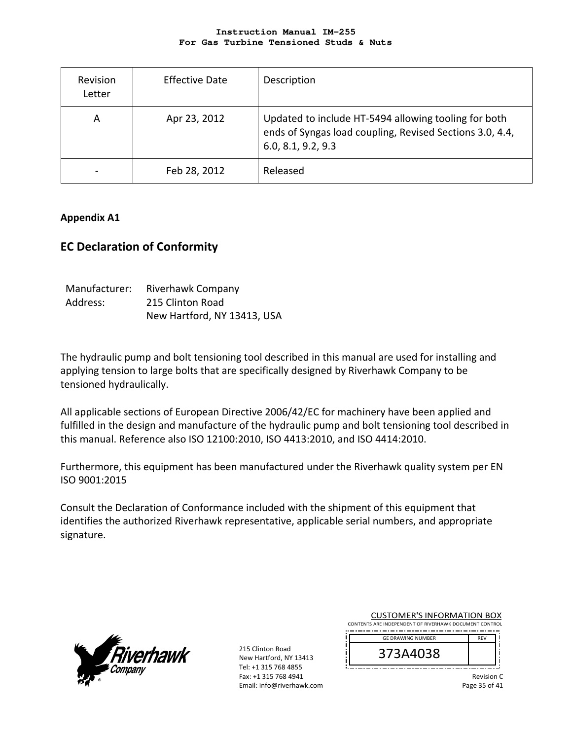| Revision<br>Letter | <b>Effective Date</b> | Description                                                                                                                            |
|--------------------|-----------------------|----------------------------------------------------------------------------------------------------------------------------------------|
| A                  | Apr 23, 2012          | Updated to include HT-5494 allowing tooling for both<br>ends of Syngas load coupling, Revised Sections 3.0, 4.4,<br>6.0, 8.1, 9.2, 9.3 |
|                    | Feb 28, 2012          | Released                                                                                                                               |

### **Appendix A1**

# **EC Declaration of Conformity**

| Manufacturer: | <b>Riverhawk Company</b>    |
|---------------|-----------------------------|
| Address:      | 215 Clinton Road            |
|               | New Hartford, NY 13413, USA |

The hydraulic pump and bolt tensioning tool described in this manual are used for installing and applying tension to large bolts that are specifically designed by Riverhawk Company to be tensioned hydraulically.

All applicable sections of European Directive 2006/42/EC for machinery have been applied and fulfilled in the design and manufacture of the hydraulic pump and bolt tensioning tool described in this manual. Reference also ISO 12100:2010, ISO 4413:2010, and ISO 4414:2010.

Furthermore, this equipment has been manufactured under the Riverhawk quality system per EN ISO 9001:2015

Consult the Declaration of Conformance included with the shipment of this equipment that identifies the authorized Riverhawk representative, applicable serial numbers, and appropriate signature.



215 Clinton Road New Hartford, NY 13413 Tel: +1 315 768 4855 Fax: +1 315 768 4941 Email: info@riverhawk.com

| <b>CUSTOMER'S INFORMATION BOX</b>                      |            |
|--------------------------------------------------------|------------|
| CONTENTS ARE INDEPENDENT OF RIVERHAWK DOCUMENT CONTROL |            |
| <b>GE DRAWING NUMBER</b>                               | <b>RFV</b> |
| 373A4038                                               |            |

Revision C Page 35 of 41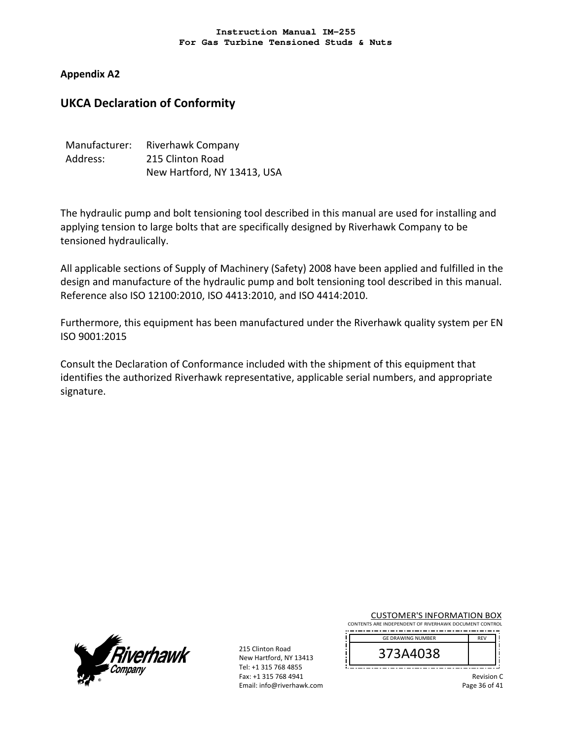## **Appendix A2**

# **UKCA Declaration of Conformity**

| Manufacturer: | Riverhawk Company           |
|---------------|-----------------------------|
| Address:      | 215 Clinton Road            |
|               | New Hartford, NY 13413, USA |

The hydraulic pump and bolt tensioning tool described in this manual are used for installing and applying tension to large bolts that are specifically designed by Riverhawk Company to be tensioned hydraulically.

All applicable sections of Supply of Machinery (Safety) 2008 have been applied and fulfilled in the design and manufacture of the hydraulic pump and bolt tensioning tool described in this manual. Reference also ISO 12100:2010, ISO 4413:2010, and ISO 4414:2010.

Furthermore, this equipment has been manufactured under the Riverhawk quality system per EN ISO 9001:2015

Consult the Declaration of Conformance included with the shipment of this equipment that identifies the authorized Riverhawk representative, applicable serial numbers, and appropriate signature.



215 Clinton Road New Hartford, NY 13413 Tel: +1 315 768 4855 Fax: +1 315 768 4941 Email: info@riverhawk.com

CUSTOMER'S INFORMATION BOX CONTENTS ARE INDEPENDENT OF RIVERHAWK DOCUMENT CONTROL -------------------------

| <b>GE DRAWING NUMBER</b> | <b>RFV</b> |
|--------------------------|------------|
| 373A4038                 |            |

Revision C

Page 36 of 41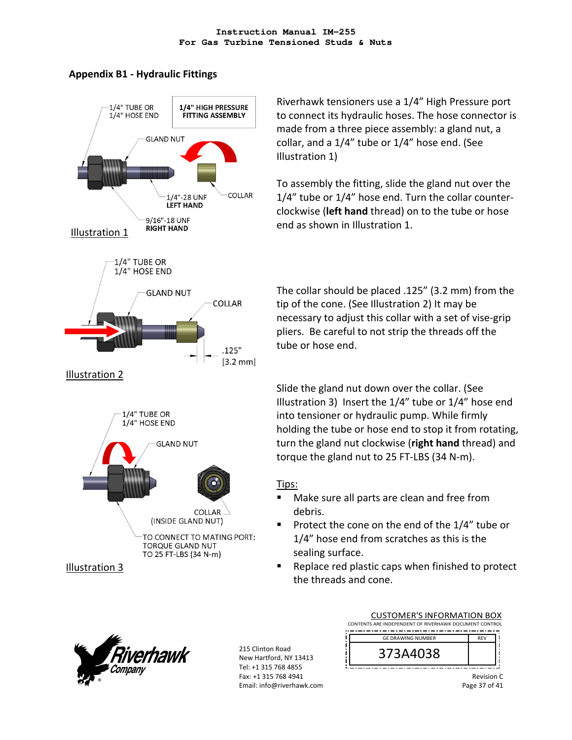# **Appendix B1 ‐ Hydraulic Fittings**



Riverhawk tensioners use a 1/4" High Pressure port to connect its hydraulic hoses. The hose connector is made from a three piece assembly: a gland nut, a collar, and a 1/4" tube or 1/4" hose end. (See Illustration 1)

To assembly the fitting, slide the gland nut over the 1/4" tube or 1/4" hose end. Turn the collar counter‐ clockwise (**left hand** thread) on to the tube or hose end as shown in Illustration 1.

The collar should be placed .125" (3.2 mm) from the tip of the cone. (See Illustration 2) It may be necessary to adjust this collar with a set of vise‐grip pliers. Be careful to not strip the threads off the tube or hose end.

Slide the gland nut down over the collar. (See Illustration 3) Insert the 1/4" tube or 1/4" hose end into tensioner or hydraulic pump. While firmly holding the tube or hose end to stop it from rotating, turn the gland nut clockwise (**right hand** thread) and torque the gland nut to 25 FT‐LBS (34 N‐m).

# Tips:

- Make sure all parts are clean and free from debris.
- Protect the cone on the end of the 1/4" tube or 1/4" hose end from scratches as this is the sealing surface.
- Replace red plastic caps when finished to protect the threads and cone.



215 Clinton Road New Hartford, NY 13413 Tel: +1 315 768 4855 Fax: +1 315 768 4941 Email: info@riverhawk.com



Revision C Page 37 of 41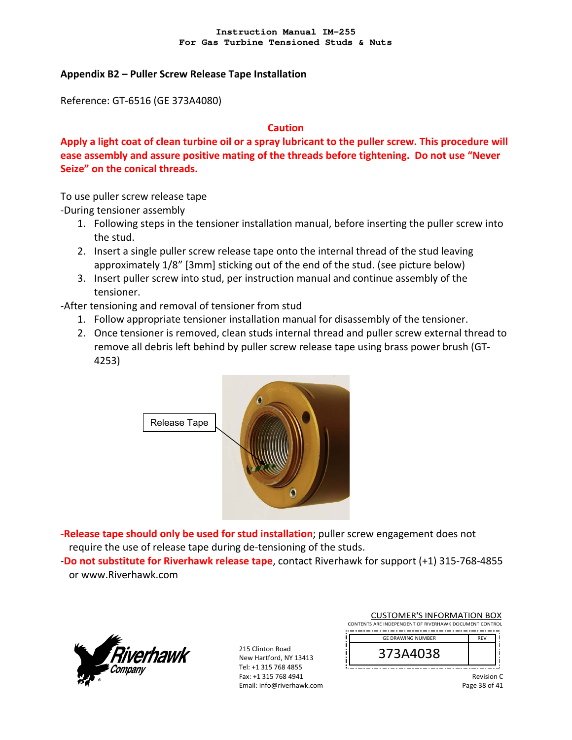### **Appendix B2 – Puller Screw Release Tape Installation**

Reference: GT‐6516 (GE 373A4080)

### **Caution**

**Apply a light coat of clean turbine oil or a spray lubricant to the puller screw. This procedure will ease assembly and assure positive mating of the threads before tightening. Do not use "Never Seize" on the conical threads.** 

To use puller screw release tape

‐During tensioner assembly

- 1. Following steps in the tensioner installation manual, before inserting the puller screw into the stud.
- 2. Insert a single puller screw release tape onto the internal thread of the stud leaving approximately 1/8" [3mm] sticking out of the end of the stud. (see picture below)
- 3. Insert puller screw into stud, per instruction manual and continue assembly of the tensioner.
- ‐After tensioning and removal of tensioner from stud
	- 1. Follow appropriate tensioner installation manual for disassembly of the tensioner.
	- 2. Once tensioner is removed, clean studs internal thread and puller screw external thread to remove all debris left behind by puller screw release tape using brass power brush (GT‐ 4253)



**‐Release tape should only be used for stud installation**; puller screw engagement does not require the use of release tape during de‐tensioning of the studs.

‐**Do not substitute for Riverhawk release tape**, contact Riverhawk for support (+1) 315‐768‐4855 or www.Riverhawk.com



215 Clinton Road New Hartford, NY 13413 Tel: +1 315 768 4855 Fax: +1 315 768 4941 Email: info@riverhawk.com

| <b>CUSTOMER'S INFORMATION BOX</b>                      |            |  |
|--------------------------------------------------------|------------|--|
| CONTENTS ARE INDEPENDENT OF RIVERHAWK DOCUMENT CONTROL |            |  |
| <b>GE DRAWING NUMBER</b>                               | <b>RFV</b> |  |
| 373A4038                                               |            |  |

Revision C

Page 38 of 41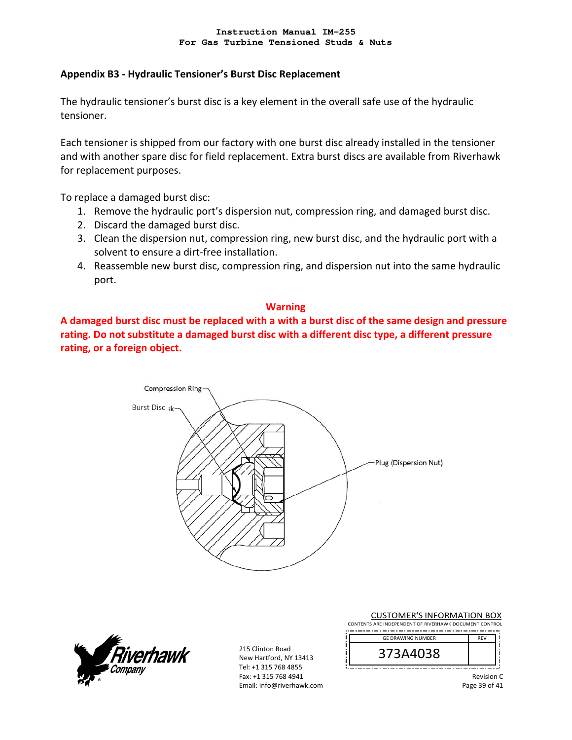### **Appendix B3 ‐ Hydraulic Tensioner's Burst Disc Replacement**

The hydraulic tensioner's burst disc is a key element in the overall safe use of the hydraulic tensioner.

Each tensioner is shipped from our factory with one burst disc already installed in the tensioner and with another spare disc for field replacement. Extra burst discs are available from Riverhawk for replacement purposes.

To replace a damaged burst disc:

- 1. Remove the hydraulic port's dispersion nut, compression ring, and damaged burst disc.
- 2. Discard the damaged burst disc.
- 3. Clean the dispersion nut, compression ring, new burst disc, and the hydraulic port with a solvent to ensure a dirt‐free installation.
- 4. Reassemble new burst disc, compression ring, and dispersion nut into the same hydraulic port.

### **Warning**

**A damaged burst disc must be replaced with a with a burst disc of the same design and pressure rating. Do not substitute a damaged burst disc with a different disc type, a different pressure rating, or a foreign object.**



rhawk

215 Clinton Road New Hartford, NY 13413 Tel: +1 315 768 4855 Fax: +1 315 768 4941 Email: info@riverhawk.com

| <b>GE DRAWING NUMBER</b> | <b>REV</b> |
|--------------------------|------------|
| 3/3A4038                 |            |

CUSTOMER'S INFORMATION BOX

Page 39 of 41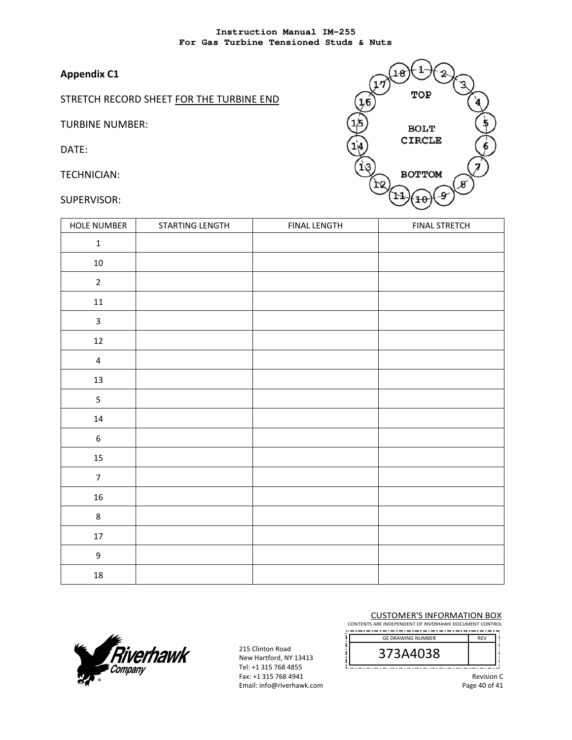# **Appendix C1**

STRETCH RECORD SHEET FOR THE TURBINE END

TURBINE NUMBER:

DATE:

TECHNICIAN:

SUPERVISOR:



| <b>HOLE NUMBER</b> | STARTING LENGTH | <b>FINAL LENGTH</b> | <b>FINAL STRETCH</b> |
|--------------------|-----------------|---------------------|----------------------|
| $\mathbf 1$        |                 |                     |                      |
| $10\,$             |                 |                     |                      |
| $\mathbf 2$        |                 |                     |                      |
| $11\,$             |                 |                     |                      |
| $\mathsf 3$        |                 |                     |                      |
| $12\,$             |                 |                     |                      |
| $\pmb{4}$          |                 |                     |                      |
| 13                 |                 |                     |                      |
| $\sf 5$            |                 |                     |                      |
| $14\,$             |                 |                     |                      |
| $\boldsymbol{6}$   |                 |                     |                      |
| $15\,$             |                 |                     |                      |
| $\overline{7}$     |                 |                     |                      |
| ${\bf 16}$         |                 |                     |                      |
| $\bf 8$            |                 |                     |                      |
| $17\,$             |                 |                     |                      |
| $\mathsf 9$        |                 |                     |                      |
| $18\,$             |                 |                     |                      |



215 Clinton Road New Hartford, NY 13413 Tel: +1 315 768 4855 Fax: +1 315 768 4941 Email: info@riverhawk.com

#### CUSTOMER'S INFORMATION BOX

CONTENTS ARE INDEPENDENT OF RIVERHAWK DOCUMENT CONTROL --------------------

| <b>GE DRAWING NUMBER</b> | <b>RFV</b> |
|--------------------------|------------|
| 373A4038                 |            |

Revision C

Page 40 of 41